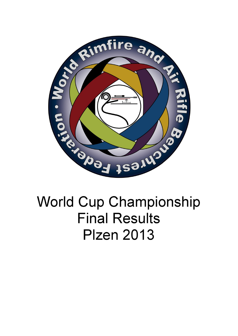

## **World Cup Championship Final Results Plzen 2013**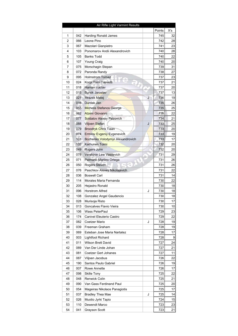|    |     | Air Rifle Light Varmint Results   |   |        |                 |
|----|-----|-----------------------------------|---|--------|-----------------|
|    |     |                                   |   | Points | X's             |
| 1  | 042 | <b>Harding Ronald James</b>       |   | 745    | 32              |
| 2  | 066 | Leone Pino                        |   | 742    | 28              |
| 3  | 067 | Mazolari Gianpietro               |   | 741    | 23              |
| 4  | 103 | Ponomarov Andii Alexandrovich     |   | 740    | 28              |
| 5  | 105 | <b>Banks Todd</b>                 |   | 740    | 22              |
| 6  | 107 | Young Craig                       |   | 740    | 20              |
| 7  | 075 | Morschagin Stepan                 |   | 739    | 31              |
| 8  | 072 | Paronda Randy                     |   | 738    | 27              |
| 9  | 095 | <b>Holmstrom Tomaz</b>            |   | 737    | 23              |
| 10 | 024 | Korpi Tomi Taavetti               |   | 737    | 21              |
| 11 | 018 | Haman Vaclav                      |   | 737    | 20              |
| 12 | 015 | <b>Bursik Jaroslav</b>            |   | 737    | 13              |
| 13 | 021 | Mrazek Matej                      | J | 736    | 19              |
| 14 | 016 | Durdak Jan                        |   | 735    | 26              |
| 15 | 055 | <b>Michelis Stefanos George</b>   |   | 735    | 25              |
| 16 | 062 | Atzeni Giovanni                   |   | 735    | 22              |
| 17 | 077 | Soldatov Alexey Petrovich         |   | 734    | 21              |
| 18 | 088 | Viljoen Stefan                    | J | 733    | 25              |
| 19 | 079 | Broodryk Chris Tiaan              |   | 733    | 20              |
| 20 | 074 | <b>Ermilov Evgeniy Evgenevich</b> |   | 733    | 19              |
| 21 | 101 | Bozhenko Volodymyr Alexandrovich  |   | 733    | 17              |
| 22 | 132 | Karhunen Toimi                    |   | 732    | 20              |
| 23 | 049 | Rogers John                       |   | 732    | 20              |
| 24 | 078 | Vershinin Lew Vasilevich          |   | 731    | 29              |
| 25 | 071 | Palmario Marlino Ortega           |   | 731    | 26              |
| 26 | 050 | Rogers Steven                     |   | 731    | 26              |
| 27 | 076 | Paschkov Alexey Nikolajevich      |   | 731    | 22              |
| 28 | 036 | <b>Boswell Carl</b>               |   | 731    | 14              |
| 29 | 114 | Morales Maria Fernanda            |   | 730    | 22              |
| 30 | 205 | Hejastro Ronald                   |   | 730    | 18              |
| 31 | 096 | <b>Horstrom Alfred</b>            | J | 730    | 18              |
| 32 | 108 | Gonzalez Angel Gaudencio          |   | 730    | 18              |
| 33 | 028 | Murisoja Risto                    |   | 730    | 17              |
| 34 | 013 | Goncalves Flavio Vieira           |   | 730    | 10              |
| 35 | 106 | Wass PeterPaul                    |   | 729    | 23              |
| 36 | 174 | Canivel Eleuterio Castro          |   | 729    | 22              |
| 37 | 082 | Coetzer Mario                     | J | 728    | 19              |
| 38 | 039 | Freeman Graham                    |   | 728    | 19              |
| 39 | 069 | Esteban Jose Maria Nartatez       |   | 728    | 17              |
| 40 | 003 | Lightfoot Richard                 |   | 728    | $\overline{9}$  |
| 41 | 011 | Wilson Brett David                |   | 727    | 24              |
| 42 | 089 | Van Der Linde Johan               |   | 727    | 21              |
| 43 | 081 | Coetzer Gert Johanes              |   | 727    | 11              |
| 44 | 087 | Viljoen Jacobus                   |   | 726    | 22              |
| 45 | 190 | Santos Paulo Gabriel              |   | 726    | 19              |
| 46 | 007 | Rowe Annette                      |   | 726    | 17              |
| 47 | 098 | Skille Tony                       |   | 725    | 22              |
| 48 | 048 | Renwick Colin                     |   | 725    | 21              |
| 49 | 090 | Van Gass Ferdinand Paul           |   | 725    | 20 <sub>2</sub> |
| 50 | 054 | Mageiras Nikolaos Panagiotis      |   | 725    | 17              |
| 51 | 037 | <b>Bradley Thea Mae</b>           | J | 725    | 4               |
| 52 | 026 | Muotio Jyrki Tapio                |   | 724    | 15              |
| 53 | 110 | Dewendt Marco                     |   | 723    | 23              |
| 54 | 041 | Grayson Scott                     |   | 723    | 21              |
|    |     |                                   |   |        |                 |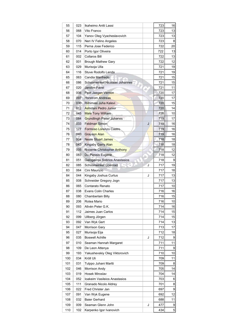| 55  | 023 | Ikaheimo Antti Lassi             |   | 723 | 16             |
|-----|-----|----------------------------------|---|-----|----------------|
| 56  | 068 | Vito Franco                      |   | 723 | 13             |
| 57  | 104 | Yanov Oleg Vyacheslavovich       |   | 723 | 13             |
| 58  | 070 | Neri IV Felino Angeles           |   | 723 | 8              |
| 59  | 115 | Perna Jose Federico              |   | 722 | 20             |
| 60  | 014 | Porto Igor Oliveira              |   | 722 | 13             |
| 61  | 002 | <b>Collaros Bill</b>             |   | 722 | 13             |
| 62  | 001 | <b>Brough Mathew Gary</b>        |   | 722 | 12             |
| 63  | 029 | Murisoja Ulla                    |   | 721 | 19             |
| 64  | 116 | Stuve Rodolfo Landa              |   | 721 | 19             |
| 65  | 063 | Candia Manfredo                  |   | 721 | 15             |
| 66  | 086 | Schoonwinkel Nicolaas Johannes   |   | 721 | 15             |
| 67  | 020 | Jarolím Pavel                    |   | 721 | 11             |
| 68  | 006 | Peet Jaegen Vernon               |   | 720 | 17             |
| 69  | 097 | <b>Horstrom Andreas</b>          |   | 720 | 17             |
| 70  | 030 | Riihimaki Juha Kalevi            |   | 720 | 15             |
| 71  | 012 | Ashidani Pedro Junior            |   | 720 | 14             |
| 72  | 045 | <b>Male Tony William</b>         |   | 720 | 10             |
| 73  | 084 | <b>Grundlingh Pieter Johanes</b> |   | 719 | 17             |
| 74  | 033 | <b>Feldman Simon</b>             | J | 719 | 16             |
| 75  | 177 | Formoso Lorenzo Castro           |   | 719 | 16             |
| 76  | 040 | Grayson Alan                     |   | 719 | 16             |
| 77  | 004 | <b>Neale Stuart James</b>        |   | 718 | 18             |
| 78  | 043 | <b>Kingaby Garry Alan</b>        |   | 718 | 18             |
| 79  | 005 | Nocente Christopher Anthony      |   | 718 | 12             |
| 80  | 083 | Du Plessis Eugene                |   | 718 | 12             |
| 81  | 051 | Galogavros Sotirios Anastasios   |   | 718 | 9              |
| 82  | 085 | Schoonwinkel Coenrad             | J | 717 | 19             |
| 83  | 064 | Cini Maurizio                    |   | 717 | 18             |
| 84  | 044 | Kingaby Joshua Curtus            | J | 717 | 13             |
| 85  | 008 | Schneider Gregory Jogn           |   | 717 | 13             |
| 86  | 065 | Contarato Renato                 |   | 717 | 10             |
| 87  | 038 | <b>Evans Colin Charles</b>       |   | 716 | 16             |
| 88  | 080 | Chamberlain Billy                |   | 716 | 15             |
| 89  | 206 | Rotea Mario                      |   | 716 | 10             |
| 90  | 093 | Allvén Peter G.K.                |   | 714 | 16             |
| 91  | 112 | Jaimes Juan Carlos               |   | 714 | 15             |
| 92  | 099 | Ullberg Jörgen                   |   | 714 | 15             |
| 93  | 092 | Van Wyk Gert                     |   | 714 | 13             |
| 94  | 047 | Morrison Gary                    |   | 713 | 17             |
| 95  | 027 | Murisoja Eija                    |   | 712 | 18             |
| 96  | 035 | <b>Boswell Achille</b>           | J | 712 | $\overline{9}$ |
| 97  | 010 | Seaman Hannah Margaret           |   | 711 | 11             |
| 98  | 109 | De Leon Attenya                  |   | 711 | $\overline{9}$ |
| 99  | 193 | Yakushevskiy Oleg Viktorovich    |   | 710 | 10             |
| 100 | 034 | Kröll Uli                        |   | 709 | 11             |
| 101 | 031 | Tulppo Juhani Martti             |   | 709 | 8              |
| 102 | 046 | Morrison Andy                    |   | 705 | 4              |
| 103 | 019 | Hosek Miroslav                   |   | 704 | 14             |
| 104 | 052 | Ioakeim Vasileios Anastasios     |   | 703 | 6              |
| 105 | 111 | Granado Nicolo Aldrey            |   | 701 | $\bf{8}$       |
| 106 | 022 | Fred Christer Jan                |   | 697 | $\mathsf{g}$   |
| 107 | 091 | Van Wyk Eugene                   |   | 692 | 12             |
| 108 | 032 | Baier Gerhard                    |   | 688 | 11             |
| 109 | 009 | Seaman Glenn John                | J | 477 | $\overline{9}$ |
| 110 | 102 | Karpenko Igor Ivanovich          |   | 434 | $5\vert$       |
|     |     |                                  |   |     |                |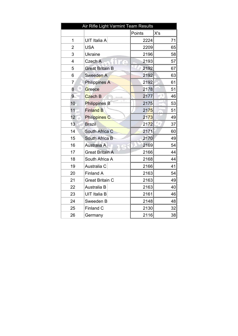| Air Rifle Light Varmint Team Results |                        |        |     |  |  |
|--------------------------------------|------------------------|--------|-----|--|--|
|                                      |                        | Points | X's |  |  |
| 1                                    | UIT Italia A           | 2224   | 71  |  |  |
| $\overline{2}$                       | <b>USA</b>             | 2209   | 65  |  |  |
| 3                                    | <b>Ukraine</b>         | 2196   | 58  |  |  |
| $\overline{\mathbf{4}}$              | Czech A                | 2193   | 57  |  |  |
| 5                                    | <b>Great Britain B</b> | 2192   | 67  |  |  |
| 6                                    | Sweeden A              | 2192   | 63  |  |  |
| $\overline{7}$                       | <b>Philippines A</b>   | 2192   | 61  |  |  |
| 8                                    | Greece                 | 2178   | 51  |  |  |
| 9                                    | <b>Czech B</b>         | 2177   | 46  |  |  |
| 10                                   | Philippines B          | 2175   | 53  |  |  |
| 11                                   | <b>Finland B</b>       | 2175   | 51  |  |  |
| 12                                   | <b>Philippines C</b>   | 2173   | 49  |  |  |
| 13                                   | <b>Brazil</b>          | 2172   | 37  |  |  |
| 14                                   | South Africa C         | 2171   | 60  |  |  |
| 15                                   | South Africa B         | 2170   | 49  |  |  |
| 16                                   | <b>Australia A</b>     | 2169   | 54  |  |  |
| 17                                   | <b>Great Britain A</b> | 2166   | 44  |  |  |
| 18                                   | South Africa A         | 2168   | 44  |  |  |
| 19                                   | Australia C            | 2166   | 41  |  |  |
| 20                                   | <b>Finland A</b>       | 2163   | 54  |  |  |
| 21                                   | Great Britain C        | 2163   | 49  |  |  |
| 22                                   | Australia B            | 2163   | 40  |  |  |
| 23                                   | <b>UIT Italia B</b>    | 2161   | 46  |  |  |
| 24                                   | Sweeden B              | 2148   | 48  |  |  |
| 25                                   | <b>Finland C</b>       | 2130   | 32  |  |  |
| 26                                   | Germany                | 2116   | 38  |  |  |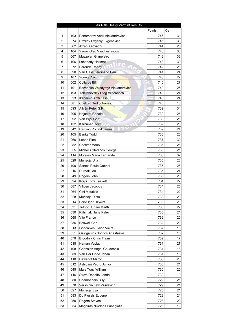| X's<br>Points<br>746<br>1<br>103<br>Ponomarov Andii Alexandrovich<br>2<br>074<br>Ermilov Evgeniy Evgenevich<br>745<br>3<br>062<br>Atzeni Giovanni<br>744 | 31<br>33<br>28 |
|----------------------------------------------------------------------------------------------------------------------------------------------------------|----------------|
|                                                                                                                                                          |                |
|                                                                                                                                                          |                |
|                                                                                                                                                          |                |
|                                                                                                                                                          |                |
| 743<br>4<br>104<br>Yanov Oleg Vyacheslavovich                                                                                                            | 33             |
| 5<br>067<br>Mazzolari Gianpietro<br>743                                                                                                                  | 32             |
| 6<br>106<br>743<br>Lababedy Hakmat                                                                                                                       | 30             |
| 7<br>742<br>072<br>Paronda Randy                                                                                                                         | 28             |
| 741<br>8<br>090<br>Van Gass Ferdinand Paul                                                                                                               | 24             |
| 9<br>107<br>740<br><b>Young Craig</b>                                                                                                                    | 27             |
| 10<br>740<br>002<br>Collaros Bill                                                                                                                        | 27             |
| 740<br>11<br>101<br>Bozhenko Volodymyr Alexandrovich                                                                                                     | 25             |
| 12<br>193<br>740<br>Yakushevskiy Oleg Viktorovich                                                                                                        | 24             |
| 13<br>740<br>023<br>Ikaheimo Antti Lassi                                                                                                                 | 24             |
| 14<br>740<br>081<br><b>Coetzer Gert Johanes</b>                                                                                                          | 16             |
| 15<br>093<br>Allvén Peter G.K.<br>739                                                                                                                    | 34             |
| 16<br>205<br>739<br><b>Hejastro Ronald</b>                                                                                                               | 26             |
| 739<br>17<br>092<br>Van Wyk Gert                                                                                                                         | 26             |
| 739<br>18<br>132<br>Karhunen Toimi                                                                                                                       | 26             |
| 739<br>19<br>042<br><b>Harding Ronald James</b>                                                                                                          | 24             |
| 20<br>738<br>105<br><b>Banks Todd</b>                                                                                                                    | 20             |
| 21<br>066<br>Leone Pino<br>737                                                                                                                           | 30             |
| 22<br>082<br>Coetzer Mario<br>J<br>736                                                                                                                   | 26             |
| 736<br>23<br>055<br>Michelis Stefanos George                                                                                                             | 21             |
| 735<br>24<br>114<br>Morales Maria Fernanda                                                                                                               | 32             |
| 735<br>25<br>029<br>Murisoja Ulla                                                                                                                        | 28             |
| 190<br>735<br>26<br>Santos Paulo Gabriel                                                                                                                 | 25             |
| 27<br>016<br>Durdak Jan<br>735                                                                                                                           | 24             |
| 28<br>735<br>049<br>Rogers John                                                                                                                          | 23             |
| 29<br>734<br>024<br>Korpi Tomi Taavetti                                                                                                                  | 27             |
| 30<br>087<br>Viljoen Jacobus<br>734                                                                                                                      | 25             |
| 31<br>064<br>Cini Maurizio<br>734                                                                                                                        | 22             |
| 32<br>733<br>028<br>Murisoja Risto                                                                                                                       | 23             |
| 733<br>33<br>014<br>Porto Igor Oliveira                                                                                                                  | 23             |
| Tulppo Juhani Martti<br>733<br>34<br>031                                                                                                                 | 22             |
| 733<br>35<br>030<br>Riihimaki Juha Kalevi                                                                                                                | 21             |
| 36<br>068<br>Vito Franco<br>732                                                                                                                          | 20             |
| 37<br>732<br>036<br><b>Boswell Carl</b>                                                                                                                  | 20             |
| 38<br>732<br>013<br>Goncalves Flavio Vieira                                                                                                              | 18             |
| 39<br>051<br>732<br>Galogavros Sotirios Anastasios                                                                                                       | 18             |
| 732<br>40<br>079<br>Broodryk Chris Tiaan                                                                                                                 | 17             |
| Haman Vaclav<br>41<br>018<br>731                                                                                                                         | 27             |
| 42<br>108<br>Gonzalez Angel Gaudencio<br>731                                                                                                             | 18             |
| 731<br>43<br>089<br>Van Der Linde Johan                                                                                                                  | 18             |
| 44<br>110<br>Dewendt Marco<br>730                                                                                                                        | 23             |
| 45<br>012<br>Ashidani Pedro Junior<br>730                                                                                                                | 21             |
| 46<br>045<br>Male Tony William<br>730                                                                                                                    | 20             |
| 47<br>116<br>Stuve Rodolfo Landa<br>730                                                                                                                  | 19             |
| 48<br>729<br>080<br>Chamberlain Billy                                                                                                                    | 21             |
| 729<br>49<br>078<br>Vershinin Lew Vasilevich                                                                                                             | 21             |
| 50<br>027<br>728<br>Murisoja Eija                                                                                                                        | 21             |
| 51<br>728<br>083<br>Du Plessis Eugene                                                                                                                    | 21             |
| 52<br>728<br>050<br>Rogers Steven                                                                                                                        | 20             |
| 728<br>53<br>054<br>Mageiras Nikolaos Panagiotis                                                                                                         | 19             |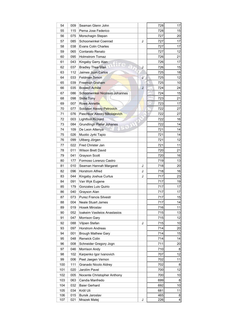| 54  | 009 | Seaman Glenn John                |   | 728        | 17 |
|-----|-----|----------------------------------|---|------------|----|
| 55  | 115 | Perna Jose Federico              |   | 728        | 15 |
| 56  | 075 | Morschagin Stepan                |   | 727        | 20 |
| 57  | 085 | Schoonwinkel Coenrad             | J | 727        | 17 |
| 58  | 038 | Evans Colin Charles              |   | 727        | 17 |
| 59  | 065 | Contarato Renato                 |   | 727        | 12 |
| 60  | 095 | <b>Holmstrom Tomaz</b>           |   | 726        | 21 |
| 61  | 043 | Kingaby Garry Alan               |   | 726        | 17 |
| 62  | 037 | <b>Bradley Thea Mae</b>          | J | 726        | 15 |
| 63  | 112 | Jaimes Juan Carlos               |   | 725        | 18 |
| 64  | 033 | <b>Feldman Simon</b>             | J | 725        | 12 |
| 65  | 039 | Freeman Graham                   |   | 725        | 10 |
| 66  | 035 | <b>Boswell Achille</b>           | J | 724        | 24 |
| 67  | 086 | Schoonwinkel Nicolaas Johannes   |   | 724        | 15 |
| 68  | 098 | <b>Skille Tony</b>               |   | 723        | 21 |
| 69  | 007 | <b>Rowe Annette</b>              |   | 723        | 17 |
| 70  | 077 | Soldatov Alexey Petrovich        |   | 722        | 27 |
| 71  | 076 | Paschkov Alexey Nikolajevich     |   | 722        | 27 |
| 72  | 003 | <b>Lightfoot Richard</b>         |   | 722        | 16 |
| 73  | 084 | <b>Grundlingh Pieter Johanes</b> |   | 722        | 14 |
| 74  | 109 | De Leon Attenya                  |   | 721        | 14 |
| 75  | 026 | Muotio Jyrki Tapio               |   | 721        | 14 |
| 76  | 099 | Ullberg Jörgen                   |   | 721        | 12 |
| 77  | 022 | Fred Christer Jan                |   | 721        | 11 |
| 78  | 011 | Wilson Brett David               |   | 720        | 21 |
| 79  | 041 | Grayson Scott                    |   | 720        | 16 |
| 80  | 177 |                                  |   | 719        | 13 |
|     |     | Formoso Lorenzo Castro           |   | 718        |    |
| 81  | 010 | Seaman Hannah Margaret           | J |            | 20 |
| 82  | 096 | <b>Horstrom Alfred</b>           | J | 718<br>717 | 16 |
| 83  | 044 | Kingaby Joshua Curtus            | J |            | 23 |
| 84  | 091 | Van Wyk Eugene                   |   | 717        | 19 |
| 85  | 179 | Gonzales Luis Quirio             |   | 717        | 17 |
| 86  | 040 | Grayson Alan                     |   | 717        | 17 |
| 87  | 073 | <b>Purez Francis Silvestr</b>    |   | 717        | 15 |
| 88  | 004 | Neale Stuart James               |   | 717        | 14 |
| 89  | 019 | Hosek Miroslav                   |   | 716        | 11 |
| 90  | 052 | Ioakeim Vasileios Anastasios     |   | 715        | 13 |
| 91  | 047 | <b>Morrison Gary</b>             |   | 715        | 12 |
| 92  | 088 | Viljoen Stefan                   | J | 715        | 10 |
| 93  | 097 | <b>Horstrom Andreas</b>          |   | 714        | 20 |
| 94  | 001 | <b>Brough Mathew Gary</b>        |   | 714        | 15 |
| 95  | 048 | Renwick Colin                    |   | 714        | 14 |
| 96  | 008 | Schneider Gregory Jogn           |   | 711        | 20 |
| 97  | 046 | Morrison Andy                    |   | 710        | 8  |
| 98  | 102 | Karpenko Igor Ivanovich          |   | 707        | 12 |
| 99  | 006 | Peet Jaegen Vernon               |   | 702        | 11 |
| 100 | 111 | Granado Nicolo Aldrey            |   | 702        | 8  |
| 101 | 020 | Jarolím Pavel                    |   | 700        | 12 |
| 102 | 005 | Nocente Christopher Anthony      |   | 700        | 10 |
| 103 | 063 | Candia Manfredo                  |   | 699        | 8  |
| 104 | 032 | <b>Baier Gerhard</b>             |   | 692        | 10 |
| 105 | 034 | Kröll Uli                        |   | 681        | 11 |
| 106 | 015 | Bursik Jaroslav                  |   | 465        | 8  |
| 107 | 021 | Mrazek Matej                     | J | 226        | 4  |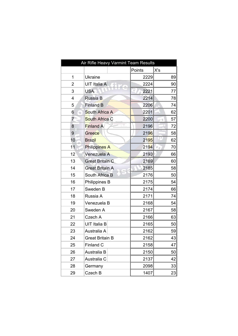| Air Rifle Heavy Varmint Team Results |                        |        |                    |
|--------------------------------------|------------------------|--------|--------------------|
|                                      |                        | Points | X's                |
| 1                                    | <b>Ukraine</b>         | 2229   | 89                 |
| 2                                    | UIT Italia A           | 2224   | 90                 |
| 3                                    | <b>USA</b>             | 2221   | 77                 |
| 4                                    | Russia B               | 2214   | 78                 |
| 5                                    | <b>Finland B</b>       | 2206   | 74                 |
| 6                                    | South Africa A         | 2201   | 62                 |
| $\overline{7}$                       | South Africa C         | 2200   | 57                 |
| 8                                    | Finland A              | 2196   | 72                 |
| 9                                    | Greece                 | 2196   | 58                 |
| 10                                   | <b>Brazil</b>          | 2195   | 62                 |
| 11                                   | Philippines A          | 2194   | 70<br>$\sigma_{d}$ |
| 12                                   | Venezuela A            | 2193   | 66                 |
| 13                                   | <b>Great Britain C</b> | 2189   | 60                 |
| 14                                   | <b>Great Britain A</b> | 2185   | 58                 |
| 15                                   | South Africa B         | 2176   | 50                 |
| 16                                   | Philippines B          | 2175   | 54                 |
| 17                                   | Sweden B               | 2174   | 66                 |
| 18                                   | Russia A               | 2171   | 74                 |
| 19                                   | Venezuela B            | 2168   | 54                 |
| 20                                   | Sweden A               | 2167   | 58                 |
| 21                                   | Czech A                | 2166   | 63                 |
| 22                                   | UIT Italia B           | 2165   | 50                 |
| 23                                   | Australia A            | 2162   | 59                 |
| 24                                   | <b>Great Britain B</b> | 2162   | 43                 |
| 25                                   | Finland C              | 2158   | 47                 |
| 26                                   | Australia B            | 2150   | 50                 |
| 27                                   | Australia C            | 2137   | 42                 |
| 28                                   | Germany                | 2098   | 33                 |
| 29                                   | Czech B                | 1407   | 23                 |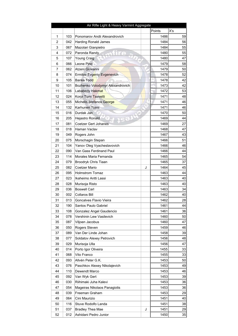|                |     | Air Rifle Light & Heavy Varmint Aggregate |           |     |
|----------------|-----|-------------------------------------------|-----------|-----|
|                |     |                                           | Points    | X's |
| 1              | 103 | Ponomarov Andii Alexandrovich             | 1486      | 59  |
| $\overline{2}$ | 042 | Harding Ronald James                      | 1484      | 56  |
| 3              | 067 | Mazolari Gianpietro                       | 1484      | 55  |
| 4              | 072 | Paronda Randy                             | 1480      | 55  |
| 5              | 107 | Young Craig                               | 1480      | 47  |
| 6              | 066 | Leone Pino                                | 1479      | 58  |
| 7              | 062 | Atzeni Giovanni                           | 1479      | 50  |
| 8              | 074 | Ermilov Evgeniy Evgenevich                | 1478      | 52  |
| 9              | 105 | <b>Banks Todd</b>                         | 1478      | 42  |
| 10             | 101 | Bozhenko Volodymyr Alexandrovich          | 1473      | 42  |
| 11             | 106 | Lababedy Hakmat                           | 1472      | 53  |
| 12             | 024 | Korpi Tomi Taavetti                       | 1471      | 48  |
| 13             | 055 | Michelis Stefanos George                  | Ð<br>1471 | 46  |
| 14             | 132 | Karhunen Toimi                            | 1471      | 46  |
| 15             | 016 | Durdak Jan                                | 1470      | 50  |
| 16             | 205 | Hejastro Ronald                           | 1469      | 44  |
| 17             | 081 | Coetzer Gert Johanes                      | 1469      | 27  |
| 18             | 018 | Haman Vaclav                              | 1468      | 47  |
| 19             | 049 | Rogers John                               | 1467      | 43  |
| 20             | 075 | Morschagin Stepan                         | 1466      | 51  |
| 21             | 104 | Yanov Oleg Vyacheslavovich                | 1466      | 46  |
| 22             | 090 | Van Gass Ferdinand Paul                   | 1466      | 44  |
| 23             | 114 | Morales Maria Fernanda                    | 1465      | 54  |
| 24             | 079 | Broodryk Chris Tiaan                      | 1465      | 37  |
| 25             | 082 | Coetzer Mario<br>J                        | 1464      | 45  |
| 26             | 095 | <b>Holmstrom Tomaz</b>                    | 1463      | 44  |
| 27             | 023 | Ikaheimo Antti Lassi                      | 1463      | 40  |
| 28             | 028 | Murisoja Risto                            | 1463      | 40  |
| 29             | 036 | <b>Boswell Carl</b>                       | 1463      | 34  |
| 30             | 002 | <b>Collaros Bill</b>                      | 1462      | 40  |
| 31             | 013 | Goncalves Flavio Vieira                   | 1462      | 28  |
| 32             | 190 | Santos Paulo Gabriel                      | 1461      | 44  |
| 33             | 108 | Gonzalez Angel Gaudencio                  | 1461      | 36  |
| 34             | 078 | Vershinin Lew Vasilevich                  | 1460      | 50  |
| 35             | 087 | Viljoen Jacobus                           | 1460      | 47  |
| 36             | 050 | Rogers Steven                             | 1459      | 46  |
| 37             | 089 | Van Der Linde Johan                       | 1458      | 39  |
| 38             | 077 | Soldatov Alexey Petrovich                 | 1456      | 48  |
| 39             | 029 | Murisoja Ulla                             | 1456      | 47  |
| 40             | 014 | Porto Igor Oliveira                       | 1455      | 33  |
| 41             | 068 | Vito Franco                               | 1455      | 33  |
| 42             | 093 | Allvén Peter G.K.                         | 1453      | 50  |
| 43             | 076 | Paschkov Alexey Nikolajevich              | 1453      | 49  |
| 44             | 110 | Dewendt Marco                             | 1453      | 46  |
| 45             | 092 | Van Wyk Gert                              | 1453      | 39  |
| 46             | 030 | Riihimaki Juha Kalevi                     | 1453      | 36  |
| 47             | 054 | Mageiras Nikolaos Panagiotis              | 1453      | 36  |
| 48             | 039 | Freeman Graham                            | 1453      | 29  |
| 49             | 064 | Cini Maurizio                             | 1451      | 40  |
| 50             | 116 | Stuve Rodolfo Landa                       | 1451      | 38  |
| 51             | 037 | <b>Bradley Thea Mae</b><br>J              | 1451      | 29  |
| 52             | 012 | Ashidani Pedro Junior                     | 1450      | 35  |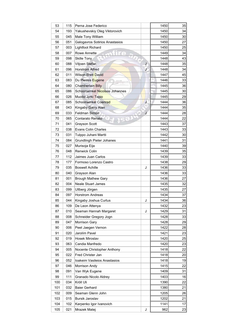| 53  | 115 | Perna Jose Federico              |    | 1450      | 35              |
|-----|-----|----------------------------------|----|-----------|-----------------|
| 54  | 193 | Yakushevskiy Oleg Viktorovich    |    | 1450      | 34              |
| 55  | 045 | Male Tony William                |    | 1450      | 30 <sup>2</sup> |
| 56  | 051 | Galogavros Sotirios Anastasios   |    | 1450      | 27              |
| 57  | 003 | Lightfoot Richard                |    | 1450      | 25              |
| 58  | 007 | Rowe Annette                     |    | 1449      | 34              |
| 59  | 098 | <b>Skille Tony</b>               |    | 1448      | 43              |
| 60  | 088 | Viljoen Stefan                   | J  | 1448      | 35              |
| 61  | 096 | <b>Horstrom Alfred</b>           | J  | 1448      | 34              |
| 62  | 011 | <b>Wilson Brett David</b>        |    | 1447      | 45              |
| 63  | 083 | Du Plessis Eugene                |    | 5<br>1446 | 33              |
| 64  | 080 | <b>Chamberlain Billy</b>         |    | 1445      | 36              |
| 65  | 086 | Schoonwinkel Nicolaas Johannes   |    | 1445      | 30              |
| 66  | 026 | Muotio Jyrki Tapio               |    | 1445      | 29              |
| 67  | 085 | Schoonwinkel Coenrad             | J, | 1444      | 36              |
| 68  | 043 | Kingaby Garry Alan               |    | 1444      | 35              |
| 69  | 033 | <b>Feldman Simon</b>             | J  | 1444      | 28              |
| 70  | 065 | Contarato Renato                 |    | 1444      | 22              |
| 71  | 041 | <b>Grayson Scott</b>             |    | 1443      | 37              |
| 72  | 038 | <b>Evans Colin Charles</b>       |    | 1443      | 33              |
| 73  | 031 | Tulppo Juhani Martti             |    | 1442      | 30              |
| 74  | 084 | <b>Grundlingh Pieter Johanes</b> |    | 1441      | 31              |
| 75  | 027 | Murisoja Eija                    |    | 1440      | 39              |
| 76  | 048 | Renwick Colin                    |    | 1439      | 35              |
| 77  | 112 | Jaimes Juan Carlos               |    | 1439      | 33              |
| 78  | 177 | Formoso Lorenzo Castro           |    | 1438      | 29              |
| 79  | 035 | <b>Boswell Achille</b>           | J  | 1436      | 33              |
| 80  | 040 | Grayson Alan                     |    | 1436      | 33              |
| 81  | 001 | <b>Brough Mathew Gary</b>        |    | 1436      | 27              |
| 82  | 004 | <b>Neale Stuart James</b>        |    | 1435      | 32              |
| 83  | 099 | Ullberg Jörgen                   |    | 1435      | 27              |
| 84  | 097 | <b>Horstrom Andreas</b>          |    | 1434      | 37              |
| 85  | 044 | Kingaby Joshua Curtus            | J  | 1434      | 36              |
| 86  | 109 | De Leon Attenya                  |    | 1432      | 23              |
| 87  | 010 | Seaman Hannah Margaret           | J  | 1429      | 31              |
| 88  | 008 | Schneider Gregory Jogn           |    | 1428      | 33              |
| 89  | 047 | Morrison Gary                    |    | 1428      | 29              |
| 90  | 006 | Peet Jaegen Vernon               |    | 1422      | 28              |
| 91  | 020 | Jarolím Pavel                    |    | 1421      | 23              |
| 92  | 019 | Hosek Miroslav                   |    | 1420      | 25              |
| 93  | 063 | Candia Manfredo                  |    | 1420      | 23              |
| 94  |     |                                  |    | 1418      | 22              |
|     | 005 | Nocente Christopher Anthony      |    |           |                 |
| 95  | 022 | Fred Christer Jan                |    | 1418      | 20 <sub>l</sub> |
| 96  | 052 | Ioakeim Vasileios Anastasios     |    | 1418      | 19              |
| 97  | 046 | Morrison Andy                    |    | 1415      | 22              |
| 98  | 091 | Van Wyk Eugene                   |    | 1409      | 31              |
| 99  | 111 | Granado Nicolo Aldrey            |    | 1403      | 16              |
| 100 | 034 | Kröll Uli                        |    | 1390      | 22              |
| 101 | 032 | <b>Baier Gerhard</b>             |    | 1380      | 21              |
| 102 | 009 | Seaman Glenn John                |    | 1205      | 26              |
| 103 | 015 | Bursik Jaroslav                  |    | 1202      | 21              |
| 104 | 102 | Karpenko Igor Ivanovich          |    | 1141      | 17              |
| 105 | 021 | Mrazek Matej                     | J  | 962       | 23              |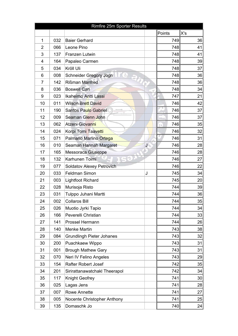|                |     | Rimfire 25m Sporter Results                  |   |                  |                 |
|----------------|-----|----------------------------------------------|---|------------------|-----------------|
|                |     |                                              |   | Points           | X's             |
| 1              | 032 | <b>Baier Gerhard</b>                         |   | 749              | 36              |
| $\overline{2}$ | 066 | Leone Pino                                   |   | 748              | 41              |
| 3              | 137 | Franzen Lutwin                               |   | 748              | 41              |
| 4              | 164 | Papaleo Carmen                               |   | 748              | 39              |
| 5              | 034 | Kröll Uli                                    |   | 748              | 37              |
| 6              | 008 | $\frac{\alpha}{2}$<br>Schneider Gregory Jogn |   | 748              | 36              |
| 7              | 142 | Rißman Manfred                               |   | 748              | 36              |
| 8              | 036 | <b>Boswell Carl</b>                          |   | 748              | 34              |
| 9              | 023 | Ikaheimo Antti Lassi                         |   | 747              | 21              |
| 10             | 011 | <b>Wilson Brett David</b>                    |   | 746              | 42              |
| 11             | 190 | Santos Paulo Gabriel                         |   | 746              | 37              |
| 12             | 009 | Seaman Glenn John                            |   | 746              | 37              |
| 13             | 062 | Atzeni Giovanni                              |   | 746<br><b>TD</b> | 35              |
| 14             | 024 | Korpi Tomi Taavetti                          |   | 746              | 32              |
| 15             | 071 | Palmario Marlino Ortega                      |   | 746              | 31              |
| 16             | 010 | Seaman Hannah Margaret                       | J | 746              | 28              |
| 17             | 165 | Messoraca Giuseppe                           |   | 746              | 28              |
| 18             | 132 | Karhunen Toimi                               |   | 746              | 27              |
| 19             | 077 | <b>Soldatov Alexey Petrovich</b>             |   | 746              | 22              |
| 20             | 033 | Feldman Simon                                | J | 745              | 34              |
| 21             | 003 | <b>Lightfoot Richard</b>                     |   | 745              | 20 <sub>2</sub> |
| 22             | 028 | Murisoja Risto                               |   | 744              | 39              |
| 23             | 031 | Tulppo Juhani Martti                         |   | 744              | 36              |
| 24             | 002 | <b>Collaros Bill</b>                         |   | 744              | 35              |
| 25             | 026 | Muotio Jyrki Tapio                           |   | 744              | 34              |
| 26             | 166 | Peverelli Christian                          |   | 744              | 33              |
| 27             | 141 | Prossel Hermann                              |   | 744              | 26              |
| 28             | 140 | <b>Menke Martin</b>                          |   | 743              | 38              |
| 29             | 084 | <b>Grundlingh Pieter Johanes</b>             |   | 743              | 32              |
| 30             | 200 | Puachkaew Wippo                              |   | 743              | 31              |
| 31             | 001 | <b>Brough Mathew Gary</b>                    |   | 743              | 31              |
| 32             | 070 | Neri IV Felino Angeles                       |   | 743              | 29              |
| 33             | 154 | <b>Rafter Robert Josef</b>                   |   | 742              | 35              |
| 34             | 201 | Sirirattanawatchakl Theerapol                |   | 742              | 34              |
| 35             | 117 | Knight Geofrey                               |   | 741              | 30 <sup>2</sup> |
| 36             | 025 | Lagas Jens                                   |   | 741              | 28              |
| 37             | 007 | <b>Rowe Annette</b>                          |   | 741              | 27              |
| 38             | 005 | Nocente Christopher Anthony                  |   | 741              | 25              |
| 39             | 135 | Domaschk Jo                                  |   | 740              | 24              |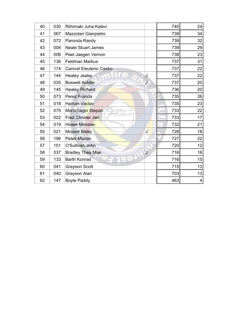| 40 | 030 | Riihimaki Juha Kalevi                                |              | 740               | 24 |
|----|-----|------------------------------------------------------|--------------|-------------------|----|
| 41 | 067 | Mazzolari Gianpietro                                 |              | 739               | 34 |
| 42 | 072 | Paronda Randy                                        |              | 739               | 32 |
| 43 | 004 | <b>Neale Stuart James</b>                            |              | 739               | 29 |
| 44 | 006 | Peet Jaegen Vernon                                   |              | 738               | 23 |
| 45 | 136 | <b>Feldman Markus</b>                                |              | 737               | 31 |
| 46 | 174 | <b>Canivel Eleuterio Castro</b>                      |              | 737               | 22 |
| 47 | 144 | $\frac{\partial}{\partial x}$<br><b>Healey Jeake</b> | J            | 737               | 22 |
| 48 | 035 | <b>Boswell Achille</b>                               | $\mathbf{J}$ | 737               | 20 |
| 49 | 145 | <b>Healey Richard</b>                                |              | 736               | 20 |
| 50 | 073 | <b>Perez Francis</b>                                 |              | 735               | 26 |
| 51 | 018 | Haman Vaclav                                         |              | 735               | 23 |
| 52 | 075 | Morschagin Stepan                                    |              | 733               | 22 |
| 53 | 022 | Fred Christer Jan                                    |              | 733               | 17 |
| 54 | 019 | <b>Hosek Miroslav</b>                                |              | 732<br>$\sqrt{D}$ | 21 |
| 55 | 021 | Mrazek Matej                                         | J            | 728               | 18 |
| 56 | 196 | <b>Petek Marian</b>                                  |              | 727               | 22 |
| 57 | 151 | O'Sullivan John                                      |              | 720               | 12 |
| 58 | 037 | <b>Bradley Thea Mae</b>                              | J            | 716               | 16 |
| 59 | 133 | <b>Barth Konrad</b>                                  |              | 716               | 15 |
| 60 | 041 | <b>Grayson Scott</b>                                 |              | 715               | 13 |
| 61 | 040 | Grayson Alan                                         |              | 703               | 13 |
| 62 | 147 | <b>Boyle Paddy</b>                                   |              | 463               | 4  |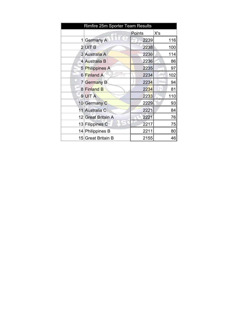| Rimfire 25m Sporter Team Results |                    |        |     |  |  |
|----------------------------------|--------------------|--------|-----|--|--|
|                                  |                    | Points | X's |  |  |
| 11                               | Germany A          | 2239   | 116 |  |  |
|                                  | $2$ UITB           | 2238   | 100 |  |  |
|                                  | 3 Australia A      | 2236   | 114 |  |  |
|                                  | 4 Australia B      | 2236   | 86  |  |  |
|                                  | 5 Philippines A    | 2235   | 97  |  |  |
|                                  | 6 Finland A        | 2234   | 102 |  |  |
|                                  | 7 Germany B        | 2234   | 94  |  |  |
|                                  | 8 Finland B        | 2234   | 81  |  |  |
|                                  | 9UITA              | 2233   | 110 |  |  |
|                                  | 10 Germany C       | 2229   | 93  |  |  |
|                                  | 11 Australia C     | 2221   | 84  |  |  |
|                                  | 12 Great Britain A | 2221   | 76  |  |  |
|                                  | 13 Filippines C    | 2217   | 75  |  |  |
|                                  | 14 Philippines B   | 2211   | 80  |  |  |
|                                  | 15 Great Britain B | 2155   | 46  |  |  |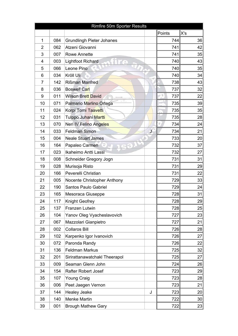|                | Rimfire 50m Sporter Results |                                  |        |                 |  |  |  |  |  |
|----------------|-----------------------------|----------------------------------|--------|-----------------|--|--|--|--|--|
|                |                             |                                  | Points | X's             |  |  |  |  |  |
| 1              | 084                         | <b>Grundlingh Pieter Johanes</b> | 744    | 36              |  |  |  |  |  |
| $\overline{2}$ | 062                         | Atzeni Giovanni                  | 741    | 42              |  |  |  |  |  |
| 3              | 007                         | <b>Rowe Annette</b>              | 741    | 35              |  |  |  |  |  |
| 4              | 003                         | <b>Lightfoot Richard</b>         | 740    | 43              |  |  |  |  |  |
| 5              | 066                         | Leone Pino                       | 740    | 35              |  |  |  |  |  |
| 6              | 034                         | Kröll Uli                        | 740    | 34              |  |  |  |  |  |
| 7              | 142                         | <b>Rißman Manfred</b>            | 738    | 43              |  |  |  |  |  |
| 8              | 036                         | <b>Boswell Carl</b>              | 737    | 32              |  |  |  |  |  |
| 9              | 011                         | Wilson Brett David               | 737    | 22              |  |  |  |  |  |
| 10             | 071                         | Palmario Marlino Ortega          | 735    | 39              |  |  |  |  |  |
| 11             | 024                         | Korpi Tomi Taavetti              | 735    | 35              |  |  |  |  |  |
| 12             | 031                         | Tulppo Juhani Martti             | 735    | 28              |  |  |  |  |  |
| 13             | 070                         | Neri IV Felino Angeles           | 734    | 24              |  |  |  |  |  |
| 14             | 033                         | J<br><b>Feldman Simon</b>        | 734    | 21              |  |  |  |  |  |
| 15             | 004                         | <b>Neale Stuart James</b>        | 733    | 20              |  |  |  |  |  |
| 16             | 164                         | Papaleo Carmen                   | 732    | 37              |  |  |  |  |  |
| 17             | 023                         | Ikaheimo Antti Lassi             | 732    | 27              |  |  |  |  |  |
| 18             | 008                         | Schneider Gregory Jogn           | 731    | 31              |  |  |  |  |  |
| 19             | 028                         | Murisoja Risto                   | 731    | 29              |  |  |  |  |  |
| 20             | 166                         | Peverelli Christian              | 731    | 22              |  |  |  |  |  |
| 21             | 005                         | Nocente Christopher Anthony      | 729    | 33              |  |  |  |  |  |
| 22             | 190                         | Santos Paulo Gabriel             | 729    | 24              |  |  |  |  |  |
| 23             | 165                         | Mesoraca Giuseppe                | 728    | 31              |  |  |  |  |  |
| 24             | 117                         | Knight Geofrey                   | 728    | 29              |  |  |  |  |  |
| 25             | 137                         | Franzen Lutwin                   | 728    | 25              |  |  |  |  |  |
| 26             | 104                         | Yanov Oleg Vyacheslavovich       | 727    | 23              |  |  |  |  |  |
| 27             | 067                         | Mazzolari Gianpietro             | 727    | 21              |  |  |  |  |  |
| 28             | 002                         | <b>Collaros Bill</b>             | 726    | 28              |  |  |  |  |  |
| 29             | 102                         | Karpenko Igor Ivanovich          | 726    | 27              |  |  |  |  |  |
| 30             | 072                         | Paronda Randy                    | 726    | 22              |  |  |  |  |  |
| 31             | 136                         | <b>Feldman Markus</b>            | 725    | 32              |  |  |  |  |  |
| 32             | 201                         | Sirirattanawatchakl Theerapol    | 725    | 27              |  |  |  |  |  |
| 33             | 009                         | Seaman Glenn John                | 724    | 26              |  |  |  |  |  |
| 34             | 154                         | <b>Rafter Robert Josef</b>       | 723    | 29              |  |  |  |  |  |
| 35             | 107                         | <b>Young Craig</b>               | 723    | 28              |  |  |  |  |  |
| 36             | 006                         | Peet Jaegen Vernon               | 723    | 21              |  |  |  |  |  |
| 37             | 144                         | <b>Healey Jeake</b><br>J         | 723    | 20              |  |  |  |  |  |
| 38             | 140                         | Menke Martin                     | 722    | 30 <sup>°</sup> |  |  |  |  |  |
| 39             | 001                         | <b>Brough Mathew Gary</b>        | 722    | 23              |  |  |  |  |  |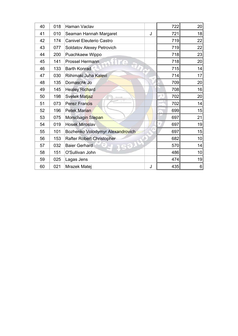| 40 | 018 | Haman Vaclav                     |   | 722 | 20              |
|----|-----|----------------------------------|---|-----|-----------------|
| 41 | 010 | Seaman Hannah Margaret           | J | 721 | 18              |
| 42 | 174 | Canivel Eleuterio Castro         |   | 719 | 22              |
| 43 | 077 | Soldatov Alexey Petrovich        |   | 719 | 22              |
| 44 | 200 | Puachkaew Wippo                  |   | 718 | 23              |
| 45 | 141 | Prossel Hermann                  |   | 718 | 20 <sub>2</sub> |
| 46 | 133 | <b>Barth Konrad</b>              |   | 715 | 14              |
| 47 | 030 | Riihimaki Juha Kalevi            |   | 714 | 17              |
| 48 | 135 | Domaschk Jo                      |   | 709 | 20              |
| 49 | 145 | <b>Healey Richard</b>            |   | 708 | 16              |
| 50 | 198 | Svetek Matjaz                    |   | 702 | 20              |
| 51 | 073 | <b>Perez Francis</b>             |   | 702 | 14              |
| 52 | 196 | <b>Petek Marian</b>              |   | 699 | 15              |
| 53 | 075 | Morschagin Stepan                |   | 697 | 21              |
| 54 | 019 | <b>Hosek Miroslav</b>            |   | 697 | 19              |
| 55 | 101 | Bozhenko Volodymyr Alexandrovich |   | 697 | 15              |
| 56 | 153 | Rafter Robert Christopher        |   | 682 | 10              |
| 57 | 032 | <b>Baier Gerhard</b>             |   | 570 | 14              |
| 58 | 151 | O'Sullivan John                  |   | 486 | 10              |
| 59 | 025 | Lagas Jens                       |   | 474 | 19              |
| 60 | 021 | Mrazek Matej                     | J | 435 | 6               |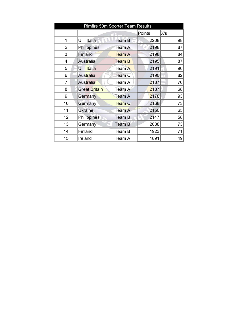| Rimfire 50m Sporter Team Results |                      |               |        |     |  |  |
|----------------------------------|----------------------|---------------|--------|-----|--|--|
|                                  |                      |               | Points | X's |  |  |
| 1                                | <b>UIT Italia</b>    | Team B        | 2208   | 98  |  |  |
| $\overline{2}$                   | Philippines          | Team A        | 2198   | 87  |  |  |
| 3                                | Finland              | <b>Team A</b> | 2198   | 84  |  |  |
| 4                                | Australia            | <b>Team B</b> | 2195   | 87  |  |  |
| 5                                | UIT Italia           | Team A        | 2191   | 90  |  |  |
| 6                                | Australia            | Team C        | 2190   | 82  |  |  |
| 7                                | Australia            | Team A        | 2187   | 76  |  |  |
| 8                                | <b>Great Britain</b> | Team A        | 2187   | 68  |  |  |
| 9                                | Germany              | Team A        | 2178   | 93  |  |  |
| 10                               | Germany              | <b>Team C</b> | 2168   | 73  |  |  |
| 11                               | <b>Ukraine</b>       | Team A        | 2150   | 65  |  |  |
| 12                               | Philippines          | Team B        | 2147   | 58  |  |  |
| 13                               | Germany              | <b>Team B</b> | 2038   | 73  |  |  |
| 14                               | Finland              | Team B        | 1923   | 71  |  |  |
| 15                               | Ireland              | Team A        | 1891   | 49  |  |  |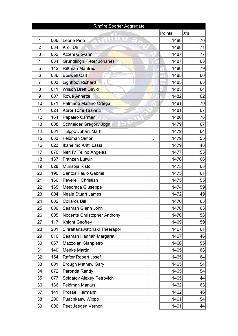|              | Rimfire Sporter Aggregate |                               |           |     |  |  |  |
|--------------|---------------------------|-------------------------------|-----------|-----|--|--|--|
|              |                           |                               | Points    | X's |  |  |  |
| $\mathbf{1}$ | 066                       | Leone Pino                    | 1488      | 76  |  |  |  |
| 2            | 034                       | Kröll Uli                     | 1488      | 71  |  |  |  |
| 3            | 062                       | Atzeni Giovanni               | 1487      | 77  |  |  |  |
| 4            | 084                       | Grundlingh Pieter Johanes     | 1487      | 68  |  |  |  |
| 5            | 142                       | Rißman Manfred                | 1486      | 79  |  |  |  |
| 6            | 036                       | <b>Boswell Carl</b>           | 1485      | 66  |  |  |  |
| 7            | 003                       | <b>Lightfoot Richard</b>      | 1485      | 63  |  |  |  |
| 8            | 011                       | <b>Wilson Brett David</b>     | 1483      | 64  |  |  |  |
| 9            | 007                       | <b>Rowe Annette</b>           | 1482      | 62  |  |  |  |
| 10           | 071                       | Palmario Marlino Ortega       | 1481      | 70  |  |  |  |
| 11           | 024                       | Korpi Tomi Taavetti           | 1481      | 67  |  |  |  |
| 12           | 164                       | Papaleo Carmen                | 1480      | 76  |  |  |  |
| 13           | 008                       | Schneider Gregory Jogn        | 1479      | 67  |  |  |  |
| 14           | 031                       | Tulppo Juhani Martti          | 1479      | 64  |  |  |  |
| 15           | 033                       | Feldman Simon                 | 1479<br>J | 55  |  |  |  |
| 16           | 023                       | Ikaheimo Antti Lassi          | 1479      | 48  |  |  |  |
| 17           | 070                       | Neri IV Felino Angeles        | 1477      | 53  |  |  |  |
| 18           | 137                       | Franzen Lutwin                | 1476      | 66  |  |  |  |
| 19           | 028                       | Murisoja Risto                | 1475      | 68  |  |  |  |
| 20           | 190                       | Santos Paulo Gabriel          | 1475      | 61  |  |  |  |
| 21           | 166                       | Peverelli Christian           | 1475      | 55  |  |  |  |
| 22           | 165                       | Mesoraca Giuseppe             | 1474      | 59  |  |  |  |
| 23           | 004                       | <b>Neale Stuart James</b>     | 1472      | 49  |  |  |  |
| 24           | 002                       | <b>Collaros Bill</b>          | 1470      | 63  |  |  |  |
| 25           | 009                       | Seaman Glenn John             | 1470      | 63  |  |  |  |
| 26           | 005                       | Nocente Christopher Anthony   | 1470      | 58  |  |  |  |
| 27           | 117                       | <b>Knight Geofrey</b>         | 1469      | 59  |  |  |  |
| 28           | 201                       | Sirirattanawatchakl Theerapol | 1467      | 61  |  |  |  |
| 29           | 010                       | Seaman Hannah Margaret        | 1467      | 46  |  |  |  |
| 30           | 067                       | Mazzolari Gianpietro          | 1466      | 55  |  |  |  |
| 31           | 140                       | <b>Menke Martin</b>           | 1465      | 68  |  |  |  |
| 32           | 154                       | <b>Rafter Robert Josef</b>    | 1465      | 64  |  |  |  |
| 33           | 001                       | <b>Brough Mathew Gary</b>     | 1465      | 54  |  |  |  |
| 34           | 072                       | Paronda Randy                 | 1465      | 54  |  |  |  |
| 35           | 077                       | Soldatov Alexey Petrovich     | 1465      | 44  |  |  |  |
| 36           | 136                       | <b>Feldman Markus</b>         | 1462      | 63  |  |  |  |
| 37           | 141                       | Prossel Hermann               | 1462      | 46  |  |  |  |
| 38           | 200                       | Puachkaew Wippo               | 1461      | 54  |  |  |  |
| 39           | 006                       | Peet Jaegen Vernon            | 1461      | 44  |  |  |  |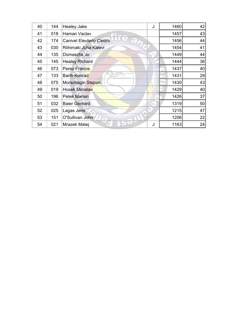| 40 | 144 | <b>Healey Jake</b>                   | J | 1460 | 42 |
|----|-----|--------------------------------------|---|------|----|
| 41 | 018 | Haman Vaclav                         |   | 1457 | 43 |
| 42 | 174 | <b>Canivel Eleuterio Castro</b><br>3 |   | 1456 | 44 |
| 43 | 030 | Riihimaki Juha Kalevi                |   | 1454 | 41 |
| 44 | 135 | Domaschk Jo                          |   | 1449 | 44 |
| 45 | 145 | Healey Richard                       |   | 1444 | 36 |
| 46 | 073 | Perez Francis                        |   | 1437 | 40 |
| 47 | 133 | <b>Barth Konrad</b>                  |   | 1431 | 29 |
| 48 | 075 | Morschagin Stepan                    |   | 1430 | 43 |
| 49 | 019 | <b>Hosek Miroslav</b>                |   | 1429 | 40 |
| 50 | 196 | <b>Petek Marian</b>                  |   | 1426 | 37 |
| 51 | 032 | <b>Baier Gerhard</b>                 |   | 1319 | 50 |
| 52 | 025 | Lagas Jens                           |   | 1215 | 47 |
| 53 | 151 | O'Sullivan John                      |   | 1206 | 22 |
| 54 | 021 | Mrazek Matej                         | J | 1163 | 24 |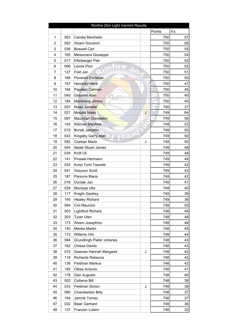| Rimfire 25m Light Varmint Results |     |                                  |        |     |  |  |
|-----------------------------------|-----|----------------------------------|--------|-----|--|--|
|                                   |     |                                  | Points | X's |  |  |
| 1                                 | 063 | Candia Manfredo                  | 750    | 57  |  |  |
| $\overline{2}$                    | 062 | Atzeni Giovanni                  | 750    | 56  |  |  |
| 3                                 | 036 | <b>Boswell Carl</b>              | 750    | 55  |  |  |
| 4                                 | 165 | Messoraca Giuseppe               | 750    | 54  |  |  |
| 5                                 | 017 | Efenberger Petr                  | 750    | 52  |  |  |
| 6                                 | 066 | Leone Pino                       | 750    | 52  |  |  |
| 7                                 | 127 | Fokt Jan                         | 750    | 51  |  |  |
| 8                                 | 166 | Peverelli Christian              | 750    | 50  |  |  |
| 9                                 | 167 | <b>Hendriks Henk</b>             | 750    | 47  |  |  |
| 10                                | 164 | Papaleo Carmen                   | 750    | 45  |  |  |
| 11                                | 040 | Grayson Alan                     | 750    | 40  |  |  |
| 12                                | 184 | Maniwang Jimmy                   | 750    | 40  |  |  |
| 13                                | 007 | <b>Rowe Annette</b>              | 750    | 37  |  |  |
| 14                                | 021 | J<br>Mrazek Matej                | 749    | 64  |  |  |
| 15                                | 067 | Mazzolari Gianpietro             | 749    | 56  |  |  |
| 16                                | 142 | Rißman Manfred                   | 749    | 53  |  |  |
| 17                                | 015 | <b>Bursik Jaroslav</b>           | 749    | 50  |  |  |
| 18                                | 043 | Kingaby Garry Alan               | 749    | 50  |  |  |
| 19                                | 082 | J<br>Coetzer Mario               | 749    | 50  |  |  |
| 20                                | 004 | <b>Neale Stuart James</b>        | 749    | 48  |  |  |
| 21                                | 034 | Kröll Uli                        | 749    | 48  |  |  |
| 22                                | 141 | Prossel Hermann                  | 749    | 44  |  |  |
| 23                                | 024 | Korpi Tomi Taavetti              | 749    | 42  |  |  |
| 24                                | 041 | <b>Grayson Scott</b>             | 749    | 42  |  |  |
| 25                                | 187 | Parsons Maria                    | 749    | 42  |  |  |
| 26                                | 016 | Durdak Jan                       | 749    | 41  |  |  |
| 27                                | 029 | Murisoja Ulla                    | 749    | 40  |  |  |
| 28                                | 117 | Knight Geofrey                   | 749    | 39  |  |  |
| 29                                | 145 | <b>Healey Richard</b>            | 749    | 36  |  |  |
| 30                                | 064 | Cini Maurizio                    | 748    | 50  |  |  |
| 31                                | 003 | Lightfoot Richard                | 748    | 49  |  |  |
| 32                                | 203 | Tyian Uten                       | 748    | 48  |  |  |
| 33                                | 173 | Alvero Josephino                 | 748    | 46  |  |  |
| 34                                | 140 | <b>Menke Martin</b>              | 748    | 45  |  |  |
| 35                                | 172 | Willems Vim                      | 748    | 44  |  |  |
| 36                                | 084 | <b>Grundlingh Pieter Johanes</b> | 748    | 43  |  |  |
| 37                                | 162 | Chiesa Danilo                    | 748    | 43  |  |  |
| 38                                | 010 | Seaman Hannah Margaret<br>J      | 748    | 42  |  |  |
| 39                                | 118 | Richards Rebecca                 | 748    | 42  |  |  |
| 40                                | 136 | <b>Feldman Markus</b>            | 748    | 42  |  |  |
| 41                                | 185 | Olbes Antonio                    | 748    | 41  |  |  |
| 42                                | 178 | Gan Augusto                      | 748    | 40  |  |  |
| 43                                | 002 | <b>Collaros Bill</b>             | 748    | 38  |  |  |
| 44                                | 033 | Feldman Simon<br>J               | 748    | 38  |  |  |
| 45                                | 080 | Chamberlain Billy                | 748    | 37  |  |  |
| 46                                | 194 | Jamnik Tomaz                     | 748    | 37  |  |  |
| 47                                | 032 | <b>Baier Gerhard</b>             | 748    | 36  |  |  |
| 48                                | 137 | Franzen Lutwin                   | 748    | 32  |  |  |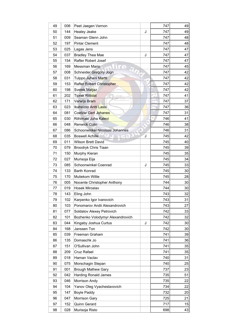| 49 | 006 | Peet Jaegen Vernon               | 747 | 49              |
|----|-----|----------------------------------|-----|-----------------|
| 50 | 144 | Healey Jeake<br>J                | 747 | 49              |
| 51 | 009 | Seaman Glenn John                | 747 | 48              |
| 52 | 197 | <b>Pintar Clement</b>            | 747 | 48              |
| 53 | 025 | Lagas Jens                       | 747 | 47              |
| 54 | 037 | <b>Bradley Thea Mae</b><br>J     | 747 | 47              |
| 55 | 154 | Rafter Robert Josef              | 747 | 47              |
| 56 | 169 | Messman Mario                    | 747 | 45              |
| 57 | 008 | Schneider Gregory Jogn           | 747 | 42              |
| 58 | 031 | Tulppo Juhani Martti             | 747 | 42              |
| 59 | 153 | Rafter Robert Christopher        | 747 | 42              |
| 60 | 198 | Svetek Matjaz                    | 747 | 42              |
| 61 | 202 | Tiprak Rittidat                  | 747 | 41              |
| 62 | 171 | Verwijs Bram                     | 747 | 37              |
| 63 | 023 | Ikaheimo Antti Lassi             | 747 | 36              |
| 64 | 081 | <b>Coetzer Gert Johanes</b>      | 747 | 31              |
| 65 | 030 | Riihimaki Juha Kalevi            | 746 | 41              |
| 66 | 048 | <b>Renwick Colin</b>             | 746 | 38              |
| 67 | 086 | Schoonwinkel Nicolaas Johannes   | 746 | 31              |
| 68 | 035 | Boswell Achille<br>J             | 745 | 42              |
| 69 | 011 | <b>Wilson Brett David</b>        | 745 | 40              |
| 70 | 079 | Broodryk Chris Tiaan             | 745 | 39              |
| 71 | 150 | Murphy Kieran                    | 745 | 35              |
| 72 | 027 | Murisoja Eija                    | 745 | 34              |
| 73 | 085 | Schoonwinkel Coenrad<br>J        | 745 | 33              |
| 74 | 133 | Barth Konrad                     | 745 | 30 <sup>2</sup> |
| 75 | 170 | <b>Muliekom Willie</b>           | 745 | 28              |
| 76 | 005 | Nocente Christopher Anthony      | 744 | 30              |
| 77 | 019 | <b>Hosek Miroslav</b>            | 744 | 30              |
| 78 | 143 | Eling John                       | 743 | 32              |
| 79 | 102 | Karpenko Igor Ivanovich          | 743 | 31              |
| 80 | 103 | Ponomarov Andii Alexandrovich    | 743 | 27              |
| 81 | 077 | Soldatov Alexey Petrovich        | 742 | 33              |
| 82 | 101 | Bozhenko Volodymyr Alexandrovich | 742 | 32              |
| 83 | 044 | Kingaby Joshua Curtus<br>J       | 742 | 30 <sup>2</sup> |
| 84 | 168 | Janssen Ton                      | 742 | 30 <sup>2</sup> |
| 85 | 039 | Freeman Graham                   | 741 | 39              |
| 86 | 135 | Domaschk Jo                      | 741 | 36              |
| 87 | 151 | O'Sullivan John                  | 741 | 35              |
| 88 | 209 | Cruz Rafael                      | 741 | 35              |
| 89 | 018 | Haman Vaclav                     | 740 | 31              |
| 90 | 075 | Morschagin Stepan                | 740 | 25              |
| 91 | 001 | <b>Brough Mathew Gary</b>        | 737 | 23              |
| 92 | 042 | <b>Harding Ronald James</b>      | 735 | 51              |
| 93 | 046 | Morrison Andy                    | 735 | 22              |
| 94 | 104 | Yanov Oleg Vyacheslavovich       | 734 | 22              |
| 95 | 147 | <b>Boyle Paddy</b>               | 732 | 20 <sub>l</sub> |
| 96 | 047 | Morrison Gary                    | 725 | 21              |
| 97 | 152 | Quinn Gerard                     | 717 | 15              |
| 98 | 028 | Murisoja Risto                   | 698 | 43              |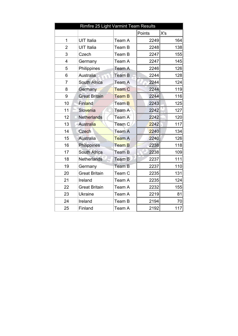| Rimfire 25 Light Varmint Team Results |                      |                   |        |     |  |
|---------------------------------------|----------------------|-------------------|--------|-----|--|
|                                       |                      |                   | Points | X's |  |
| 1                                     | <b>UIT Italia</b>    | Team A            | 2249   | 164 |  |
| $\overline{2}$                        | <b>UIT Italia</b>    | Team B            | 2248   | 138 |  |
| 3                                     | Czech                | Team B            | 2247   | 155 |  |
| 4                                     | Germany              | Team A            | 2247   | 145 |  |
| 5                                     | Philippines          | Team A            | 2246   | 126 |  |
| 6                                     | Australia            | Team B            | 2244   | 128 |  |
| $\overline{7}$                        | South Africa         | Team A            | 2244   | 124 |  |
| 8                                     | Germany              | Team C            | 2244   | 119 |  |
| 9                                     | <b>Great Britain</b> | <b>Team B</b>     | 2244   | 116 |  |
| 10                                    | Finland              | Team B            | 2243   | 125 |  |
| 11                                    | Slovenia             | Team A            | 2242   | 127 |  |
| 12                                    | <b>Netherlands</b>   | Team A            | 2242   | 120 |  |
| 13                                    | Australia            | Team <sub>C</sub> | 2242   | 117 |  |
| 14                                    | Czech                | Team A            | 2240   | 134 |  |
| 15                                    | <b>Australia</b>     | Team A            | 2240   | 126 |  |
| 16                                    | Philippines          | <b>Team B</b>     | 2238   | 118 |  |
| 17                                    | South Africa         | <b>Team B</b>     | 2238   | 109 |  |
| 18                                    | <b>Netherlands</b>   | Team B            | 2237   | 111 |  |
| 19                                    | Germany              | Team B            | 2237   | 110 |  |
| 20                                    | <b>Great Britain</b> | Team C            | 2235   | 131 |  |
| 21                                    | Ireland              | Team A            | 2235   | 124 |  |
| 22                                    | <b>Great Britain</b> | Team A            | 2232   | 155 |  |
| 23                                    | <b>Ukraine</b>       | Team A            | 2219   | 81  |  |
| 24                                    | Ireland              | Team B            | 2194   | 70  |  |
| 25                                    | Finland              | Team A            | 2192   | 117 |  |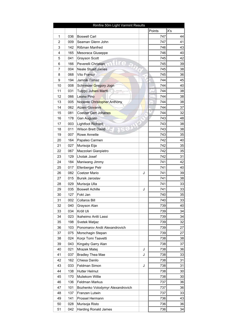|                |     | Rimfire 50m Light Varmint Results |            |                 |
|----------------|-----|-----------------------------------|------------|-----------------|
|                |     |                                   | Points     | X's             |
| 1              | 036 | <b>Boswell Carl</b>               | 747        | 44              |
| $\overline{2}$ | 009 | Seaman Glenn John                 | 747        | 41              |
| 3              | 142 | Rißman Manfred                    | 746        | 43              |
| 4              | 165 | Mesoraca Giuseppe                 | 746        | 40              |
| 5              | 041 | Grayson Scott                     | 745        | 42              |
| 6              | 166 | Peverelli Christian               | 745        | 39              |
| 7              | 004 | <b>Neale Stuart James</b>         | 745        | 38              |
| 8              | 068 | Vito Franco                       | 745        | 36              |
| 9              | 194 | Jamnik Tomaz                      | 744        | 45              |
| 10             | 008 | Schneider Gregory Jogn            | 744        | 40              |
| 11             | 031 | Tulppo Juhani Martti              | 744        | 38              |
| 12             | 066 | Leone Pino                        | 744        | 38              |
| 13             | 005 | Nocente Christopher Anthony       | 744<br>f b | 38              |
| 14             | 062 | Atzeni Giovanni                   | 744        | 37              |
| 15             | 081 | Coetzer Gert Johanes              | 744        | 32              |
| 16             | 178 | Gan Augusto                       | 743        | 48              |
| 17             | 003 | Lightfoot Richard                 | 743        | 38              |
| 18             | 011 | <b>Wilson Brett David</b>         | 743        | 38              |
| 19             | 007 | Rowe Annette                      | 743        | 35              |
| 20             | 164 | Papaleo Carmen                    | 742        | 40              |
| 21             | 027 | Murisoja Eija                     | 742        | 35              |
| 22             | 067 | Mazzolari Gianpietro              | 742        | 35              |
| 23             | 129 | Lhotak Josef                      | 742        | 31              |
| 24             | 184 | Maniwang Jimmy                    | 741        | 42              |
| 25             | 017 | Efenberger Petr                   | 741        | 40              |
| 26             | 082 | Coetzer Mario<br>J                | 741        | 39              |
| 27             | 015 | Bursik Jaroslav                   | 741        | 38              |
|                |     |                                   | 741        |                 |
| 28             | 029 | Murisoja Ulla                     |            | 33              |
| 29             | 035 | <b>Boswell Achille</b><br>J       | 741        | 33              |
| 30             | 127 | Fokt Jan                          | 740        | 35              |
| 31             | 002 | Collaros Bill                     | 740        | 33              |
| 32             | 040 | Grayson Alan                      | 739        | 40              |
| 33             | 034 | Kröll Uli                         | 739        | 34              |
| 34             | 023 | Ikaheimo Antti Lassi              | 739        | 34              |
| 35             | 198 | Svetek Matjaz                     | 739        | 32              |
| 36             | 103 | Ponomarov Andii Alexandrovich     | 739        | 27              |
| 37             | 075 | Morschagin Stepan                 | 739        | 27              |
| 38             | 024 | Korpi Tomi Taavetti               | 738        | 38              |
| 39             | 043 | Kingaby Garry Alan                | 738        | 37              |
| 40             | 021 | Mrazek Matej<br>J                 | 738        | 36              |
| 41             | 037 | <b>Bradley Thea Mae</b><br>J      | 738        | 33              |
| 42             | 162 | Chiesa Danilo                     | 738        | 31              |
| 43             | 033 | Feldman Simon<br>J                | 738        | 31              |
| 44             | 138 | <b>Hutter Helmut</b>              | 738        | 30 <sup>2</sup> |
| 45             | 170 | Muliekom Willie                   | 738        | 30              |
| 46             | 136 | Feldman Markus                    | 737        | 36              |
| 47             | 101 | Bozhenko Volodymyr Alexandrovich  | 737        | 36              |
| 48             | 137 | Franzen Lutwin                    | 737        | 33              |
| 49             | 141 | Prossel Hermann                   | 736        | 43              |
| 50             | 028 | Murisoja Risto                    | 736        | 36              |
| 51             | 042 | <b>Harding Ronald James</b>       | 736        | 34              |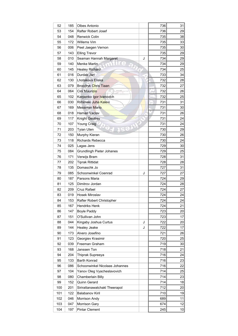| 52  | 185 | Olbes Antonio                    |   | 736       | 31              |
|-----|-----|----------------------------------|---|-----------|-----------------|
| 53  | 154 | Rafter Robert Josef              |   | 736       | 29              |
| 54  | 048 | Renwick Colin                    |   | 735       | 38              |
| 55  | 172 | Willems Vim                      |   | 735       | 33              |
| 56  | 006 | Peet Jaegen Vernon               |   | 735       | 30 <sup>2</sup> |
| 57  | 143 | <b>Elling Trevor</b>             |   | 735       | 29              |
| 58  | 010 | Seaman Hannah Margaret           | J | 734       | 29              |
| 59  | 140 | Menke Martin                     |   | 734       | 29              |
| 60  | 145 | <b>Healey Richard</b>            |   | 734       | 25              |
| 61  | 016 | Durdak Jan                       |   | 733       | 34              |
| 62  | 130 | Lhotakova Eliska                 |   | 732       | 28              |
| 63  | 079 | <b>Broodryk Chris Tiaan</b>      |   | 732       | 27              |
| 64  | 064 | Cini Maurizio                    |   | 732       | 26              |
| 65  | 102 | Karpenko Igor Ivanovich          |   | 732       | 25              |
| 66  | 030 | Riihimaki Juha Kalevi            |   | 731<br>ſΔ | 31              |
| 67  | 169 | <b>Messman Mario</b>             |   | 731       | 30              |
| 68  | 018 | <b>Haman Vaclav</b>              |   | 731       | 26              |
| 69  | 117 | Knight Geofrey                   |   | 731       | 24              |
| 70  | 107 | <b>Young Craig</b>               |   | 731       | 24              |
| 71  | 203 | <b>Tyian Uten</b>                |   | 730       | 29              |
| 72  | 150 | Murphy Kieran                    |   | 730       | 26              |
| 73  | 118 | <b>Richards Rebecca</b>          |   | 730       | 24              |
| 74  | 025 | Lagas Jens                       |   | 729       | 30              |
| 75  | 084 | <b>Grundlingh Pieter Johanes</b> |   | 729       | 25              |
| 76  | 171 | Verwijs Bram                     |   | 728       | 31              |
| 77  | 202 | <b>Tiprak Rittidat</b>           |   | 728       | 28              |
| 78  | 135 | Domaschk Jo                      |   | 727       | 31              |
| 79  | 085 | Schoonwinkel Coenrad             | J | 727       | 27              |
| 80  | 187 | Parsons Maria                    |   | 724       | 29              |
| 81  | 125 | Dimitrov Jordan                  |   | 724       | 28              |
| 82  | 209 | Cruz Rafael                      |   | 724       | 27              |
| 83  | 019 | Hosek Miroslav                   |   | 724       | 24              |
| 84  | 153 | Rafter Robert Christopher        |   | 724       | 24              |
| 85  | 167 | Hendriks Henk                    |   | 724       | 21              |
| 86  | 147 | <b>Boyle Paddy</b>               |   | 723       | 20 <sub>l</sub> |
| 87  | 151 | O'Sullivan John                  |   | 723       | 17              |
| 88  | 044 | Kingaby Joshua Curtus            | J | 722       | 20 <sub>l</sub> |
| 89  | 144 | <b>Healey Jeake</b>              | J | 722       | 17              |
| 90  | 173 | Alvero Josefino                  |   | 721       | 26              |
| 91  | 123 | Georgiev Krasimir                |   | 720       | 25              |
| 92  | 039 | Freeman Graham                   |   | 719       | 30              |
| 93  | 168 | Janssen Ton                      |   | 718       | 21              |
| 94  |     |                                  |   | 716       | 24              |
|     | 204 | Thiprak Supreeya                 |   |           |                 |
| 95  | 133 | Barth Konrad                     |   | 716       | 23              |
| 96  | 086 | Schoonwinkel Nicolaas Johannes   |   | 716       | 22              |
| 97  | 104 | Yanov Oleg Vyacheslavovich       |   | 714       | 25              |
| 98  | 080 | Chamberlain Billy                |   | 714       | 23              |
| 99  | 152 | Quinn Gerard                     |   | 714       | 18              |
| 100 | 201 | Sirirattanawatchakl Theerapol    |   | 712       | 20              |
| 101 | 122 | Balabanov Kiril                  |   | 710       | 19              |
| 102 | 046 | Morrison Andy                    |   | 689       | 11              |
| 103 | 047 | Morrison Gary                    |   | 674       | 12              |
| 104 | 197 | <b>Pintar Clement</b>            |   | 245       | 10              |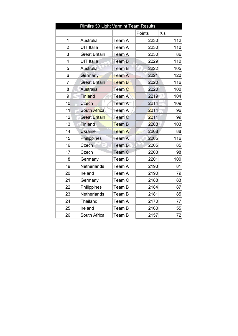| Rimfire 50 Light Varmint Team Results |                      |               |        |     |  |  |
|---------------------------------------|----------------------|---------------|--------|-----|--|--|
|                                       |                      |               | Points | X's |  |  |
| $\mathbf{1}$                          | Australia            | Team A        | 2230   | 112 |  |  |
| $\overline{2}$                        | <b>UIT Italia</b>    | Team A        | 2230   | 110 |  |  |
| 3                                     | <b>Great Britain</b> | Team A        | 2230   | 86  |  |  |
| $\overline{4}$                        | UIT Italia           | Team B        | 2229   | 110 |  |  |
| 5                                     | Australia            | Team B        | 2222   | 105 |  |  |
| 6                                     | Germany              | <b>Team A</b> | 2221   | 120 |  |  |
| $\overline{7}$                        | <b>Great Britain</b> | <b>Team B</b> | 2220   | 116 |  |  |
| 8                                     | Australia            | <b>Team C</b> | 2220   | 100 |  |  |
| 9                                     | Finland              | Team A        | 2219   | 104 |  |  |
| 10                                    | Czech                | Team A        | 2214   | 109 |  |  |
| 11                                    | South Africa         | Team A        | 2214   | 96  |  |  |
| 12                                    | <b>Great Britain</b> | Team C        | 2211   | 99  |  |  |
| 13                                    | <b>Finland</b>       | Team B        | 2208   | 103 |  |  |
| 14                                    | <b>Ukraine</b>       | <b>Team A</b> | 2208   | 88  |  |  |
| 15                                    | Philippines          | Team A        | 2205   | 116 |  |  |
| 16                                    | Czech                | Team B        | 2205   | 85  |  |  |
| 17                                    | Czech                | Team C        | 2203   | 98  |  |  |
| 18                                    | Germany              | Team B        | 2201   | 100 |  |  |
| 19                                    | Netherlands          | Team A        | 2193   | 81  |  |  |
| 20                                    | Ireland              | Team A        | 2190   | 79  |  |  |
| 21                                    | Germany              | Team C        | 2188   | 83  |  |  |
| 22                                    | Philippines          | Team B        | 2184   | 87  |  |  |
| 23                                    | <b>Netherlands</b>   | Team B        | 2181   | 85  |  |  |
| 24                                    | Thailand             | Team A        | 2170   | 77  |  |  |
| 25                                    | Ireland              | Team B        | 2160   | 55  |  |  |
| 26                                    | South Africa         | Team B        | 2157   | 72  |  |  |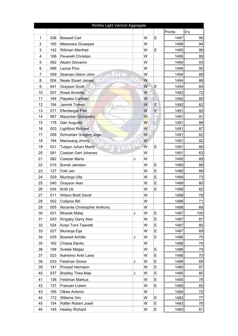|                |     | Rimfire Light Varmint Aggregate |   |   |   |             |     |
|----------------|-----|---------------------------------|---|---|---|-------------|-----|
|                |     |                                 |   |   |   | Points      | X's |
| 1              | 036 | <b>Boswell Carl</b>             |   | W | E | 1497        | 99  |
| $\overline{2}$ | 165 | Mesoraca Giuseppe               |   | W |   | 1496        | 94  |
| 3              | 142 | Rißman Manfred                  |   | W | E | 1495        | 96  |
| 4              | 166 | Peverelli Christian             |   | W |   | 1495        | 89  |
| 5              | 062 | Atzeni Giovanni                 |   | W |   | 1494        | 93  |
| 6              | 066 | Leone Pino                      |   | W |   | 1494        | 90  |
| 7              | 009 | Seaman Glenn John               |   | W |   | 1494        | 89  |
| 8              | 004 | <b>Neale Stuart James</b>       |   | W |   | 1494        | 86  |
| 9              | 041 | Grayson Scott                   |   | W | E | 1494        | 84  |
| 10             | 007 | <b>Rowe Annette</b>             |   | W |   | 1493        | 72  |
| 11             | 164 | Papaleo Carmen                  |   | W |   | 1492        | 85  |
| 12             | 194 | Jamnik Tomaz                    |   | W | É | 1492        | 82  |
| 13             | 017 | Efenberger Petr                 |   | W | E | 1491        | 92  |
| 14             | 067 | Mazzolari Gianpietro            |   | W |   | 1491        | 91  |
| 15             | 178 | Gan Augusto                     |   | W |   | 1491        | 88  |
| 16             | 003 | <b>Lightfoot Richard</b>        |   | W |   | 1491        | 87  |
| 17             | 008 | Schneider Gregory Jogn          |   | W |   | 1491        | 82  |
| 18             | 184 | Maniwang Jimmy                  |   | W |   | 1491        | 82  |
| 19             | 031 | Tulppo Juhani Martti            |   | W | E | 1491        | 80  |
| 20             | 081 | <b>Coetzer Gert Johanes</b>     |   | W |   | 1491        | 63  |
| 21             | 082 | Coetzer Mario                   | J | W |   | 1490        | 89  |
| 22             | 015 | Bursik Jaroslav                 |   | W | E | 1490        | 88  |
| 23             | 127 | Fokt Jan                        |   | W | E | 1490        | 86  |
| 24             | 029 | Murisoja Ulla                   |   | W | E | 1490        | 73  |
| 25             | 040 | Grayson Alan                    |   | W | E | 1489        | 80  |
| 26             | 034 | Kröll Uli                       |   | W | E | 1488        | 82  |
| 27             | 011 | Wilson Brett David              |   | W |   | 1488        | 78  |
| 28             | 002 | Collaros Bill                   |   | W |   | <u>1488</u> | 71  |
| 29             | 005 | Nocente Christopher Anthony     |   | W |   | 1488        | 68  |
| 30             | 021 | Mrazek Matej                    | J | W | E | 1487        | 100 |
| 31             | 043 | Kingaby Garry Alan              |   | W | E | 1487        | 87  |
| 32             | 024 | Korpi Tomi Taavetti             |   | W | E | 1487        | 80  |
| 33             | 027 | Murisoja Eija                   |   | W | E | 1487        | 69  |
| 34             | 035 | <b>Boswell Achille</b>          | J | W | E | 1486        | 75  |
| 35             | 162 | Chiesa Danilo                   |   | W |   | 1486        | 74  |
| 36             | 198 | Svetek Matjaz                   |   | W | E | 1486        | 74  |
| 37             | 023 | Ikaheimo Antti Lassi            |   | W | E | 1486        | 70  |
| 38             | 033 | Feldman Simon                   | J | W | E | 1486        | 69  |
| 39             | 141 | Prossel Hermann                 |   | W | E | 1485        | 87  |
| 40             | 037 | <b>Bradley Thea Mae</b>         | J | W | E | 1485        | 80  |
| 41             | 136 | Feldman Markus                  |   | W | E | 1485        | 78  |
| 42             | 137 | Franzen Lutwin                  |   | W | E | 1485        | 65  |
| 43             | 185 | Olbes Antonio                   |   | W |   | 1484        | 72  |
| 44             | 172 | Willems Vim                     |   | W | E | 1483        | 77  |
| 45             | 154 | Rafter Robert Josef             |   | W | E | 1483        | 76  |
| 46             | 145 | <b>Healey Richard</b>           |   | W | E | 1483        | 61  |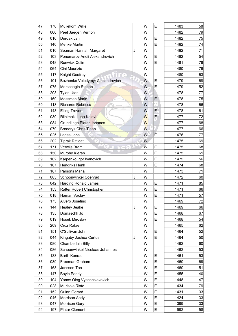| W<br>79<br>1482<br>48<br>Peet Jaegen Vernon<br>006<br>E<br>W<br>1482<br>75<br>49<br>016<br>Durdak Jan<br>E<br>W<br>1482<br>74<br>140<br><b>Menke Martin</b><br>50<br>1482<br>W<br>71<br>51<br>010<br>Seaman Hannah Margaret<br>J<br>E<br>54<br>W<br>1482<br>Ponomarov Andii Alexandrovich<br>52<br>103<br>E<br>W<br>1481<br>76<br>048<br>Renwick Colin<br>53<br>W<br>1480<br>54<br>064<br>Cini Maurizio<br>76<br>63<br>W<br>1480<br>55<br>117<br>Knight Geofrey<br>Bozhenko Volodymyr Alexandrovich<br>W<br>E<br>1479<br>68<br>56<br>101<br>E<br>52<br>W<br>1479<br>57<br>075<br>Morschagin Stepan<br>W<br>1478<br>203<br><b>Tyian Uten</b><br>58<br>77<br>W<br>E<br>1478<br><b>Messman Mario</b><br>75<br>59<br>169<br>15<br>W<br>66<br>118<br>Richards Rebecca<br>1478<br>60<br>E.<br>W<br>61<br>143<br>1478<br>61<br><b>Elling Trevor</b><br>W<br>Riihimaki Juha Kalevi<br>E<br>030<br>1477<br>62<br>72<br>W<br>68<br>1477<br>63<br>084<br>Grundlingh Pieter Johanes<br>W<br>66<br>Broodryk Chris Tiaan<br>1477<br>64<br>079<br>W<br>E<br>1476<br>77<br>65<br>025<br>Lagas Jens<br>W<br>69<br>202<br><b>Tiprak Rittidat</b><br>1475<br>66<br>W<br>E<br>1475<br>68<br>67<br>171<br>Verwijs Bram<br>E<br>W<br>61<br>Murphy Kieran<br>1475<br>68<br>150<br>E<br>56<br>W<br>1475<br>69<br>102<br>Karpenko Igor Ivanovich<br>E<br><b>Hendriks Henk</b><br>W<br>68<br>167<br>1474<br>70<br>W<br>71<br>1473<br>71<br>187<br>Parsons Maria<br>W<br>1472<br>60<br>72<br>085<br>Schoonwinkel Coenrad<br>J<br>W<br>E<br>85<br>73<br>042<br>1471<br><b>Harding Ronald James</b><br>E<br>W<br>1471<br>66<br>74<br>153<br>Rafter Robert Christopher<br>E<br>57<br>W<br>1471<br>75<br>Haman Vaclav<br>018<br>1469<br>72<br>W<br>76<br>173<br>Alvero Josefino<br>E<br>J<br>W<br>1469<br>66<br>77<br>144<br>Healey Jeake<br>67<br>W<br>E<br>1468<br>78<br>135<br>Domaschk Jo<br>W<br>E<br>1468<br>54<br>79<br>019<br>Hosek Miroslav<br>W<br>1465<br>62<br>80<br>209<br>Cruz Rafael<br>E<br>O'Sullivan John<br>W<br>1464<br>52<br>81<br>151<br>E<br>82<br>Kingaby Joshua Curtus<br>W<br>1464<br>50<br>044<br>J<br>W<br>1462<br>83<br>080<br>Chamberlain Billy<br>60<br>W<br>1462<br>Schoonwinkel Nicolaas Johannes<br>53<br>84<br>086<br>Barth Konrad<br>W<br>E<br>1461<br>133<br>53<br>85<br>E<br>69<br>W<br>1460<br>86<br>039<br>Freeman Graham<br>E<br>Janssen Ton<br>W<br>1460<br>51<br>87<br>168<br>W<br>E<br>1455<br>40<br>88<br>147<br><b>Boyle Paddy</b><br>E<br>W<br>Yanov Oleg Vyacheslavovich<br>1448<br>47<br>89<br>104<br>W<br>E<br>1434<br>79<br>90<br>028<br>Murisoja Risto<br>E<br>Quinn Gerard<br>W<br>1431<br>33<br>91<br>152<br>33<br>W<br>E<br>1424<br>92<br>Morrison Andy<br>046<br>E<br>W<br>33<br>1399<br>93<br>047<br>Morrison Gary<br>E<br><b>Pintar Clement</b><br>W<br>992<br>94<br>197 | 47 | 170 | Muliekom Willie | W | Е | 1483 | 58 |
|-----------------------------------------------------------------------------------------------------------------------------------------------------------------------------------------------------------------------------------------------------------------------------------------------------------------------------------------------------------------------------------------------------------------------------------------------------------------------------------------------------------------------------------------------------------------------------------------------------------------------------------------------------------------------------------------------------------------------------------------------------------------------------------------------------------------------------------------------------------------------------------------------------------------------------------------------------------------------------------------------------------------------------------------------------------------------------------------------------------------------------------------------------------------------------------------------------------------------------------------------------------------------------------------------------------------------------------------------------------------------------------------------------------------------------------------------------------------------------------------------------------------------------------------------------------------------------------------------------------------------------------------------------------------------------------------------------------------------------------------------------------------------------------------------------------------------------------------------------------------------------------------------------------------------------------------------------------------------------------------------------------------------------------------------------------------------------------------------------------------------------------------------------------------------------------------------------------------------------------------------------------------------------------------------------------------------------------------------------------------------------------------------------------------------------------------------------------------------------------------------------------------------------------------------------------------------------------------------------------------------------------------------------------------------------------------------------------------------------------------------------------------------------------------------------|----|-----|-----------------|---|---|------|----|
|                                                                                                                                                                                                                                                                                                                                                                                                                                                                                                                                                                                                                                                                                                                                                                                                                                                                                                                                                                                                                                                                                                                                                                                                                                                                                                                                                                                                                                                                                                                                                                                                                                                                                                                                                                                                                                                                                                                                                                                                                                                                                                                                                                                                                                                                                                                                                                                                                                                                                                                                                                                                                                                                                                                                                                                                     |    |     |                 |   |   |      |    |
|                                                                                                                                                                                                                                                                                                                                                                                                                                                                                                                                                                                                                                                                                                                                                                                                                                                                                                                                                                                                                                                                                                                                                                                                                                                                                                                                                                                                                                                                                                                                                                                                                                                                                                                                                                                                                                                                                                                                                                                                                                                                                                                                                                                                                                                                                                                                                                                                                                                                                                                                                                                                                                                                                                                                                                                                     |    |     |                 |   |   |      |    |
|                                                                                                                                                                                                                                                                                                                                                                                                                                                                                                                                                                                                                                                                                                                                                                                                                                                                                                                                                                                                                                                                                                                                                                                                                                                                                                                                                                                                                                                                                                                                                                                                                                                                                                                                                                                                                                                                                                                                                                                                                                                                                                                                                                                                                                                                                                                                                                                                                                                                                                                                                                                                                                                                                                                                                                                                     |    |     |                 |   |   |      |    |
|                                                                                                                                                                                                                                                                                                                                                                                                                                                                                                                                                                                                                                                                                                                                                                                                                                                                                                                                                                                                                                                                                                                                                                                                                                                                                                                                                                                                                                                                                                                                                                                                                                                                                                                                                                                                                                                                                                                                                                                                                                                                                                                                                                                                                                                                                                                                                                                                                                                                                                                                                                                                                                                                                                                                                                                                     |    |     |                 |   |   |      |    |
|                                                                                                                                                                                                                                                                                                                                                                                                                                                                                                                                                                                                                                                                                                                                                                                                                                                                                                                                                                                                                                                                                                                                                                                                                                                                                                                                                                                                                                                                                                                                                                                                                                                                                                                                                                                                                                                                                                                                                                                                                                                                                                                                                                                                                                                                                                                                                                                                                                                                                                                                                                                                                                                                                                                                                                                                     |    |     |                 |   |   |      |    |
|                                                                                                                                                                                                                                                                                                                                                                                                                                                                                                                                                                                                                                                                                                                                                                                                                                                                                                                                                                                                                                                                                                                                                                                                                                                                                                                                                                                                                                                                                                                                                                                                                                                                                                                                                                                                                                                                                                                                                                                                                                                                                                                                                                                                                                                                                                                                                                                                                                                                                                                                                                                                                                                                                                                                                                                                     |    |     |                 |   |   |      |    |
|                                                                                                                                                                                                                                                                                                                                                                                                                                                                                                                                                                                                                                                                                                                                                                                                                                                                                                                                                                                                                                                                                                                                                                                                                                                                                                                                                                                                                                                                                                                                                                                                                                                                                                                                                                                                                                                                                                                                                                                                                                                                                                                                                                                                                                                                                                                                                                                                                                                                                                                                                                                                                                                                                                                                                                                                     |    |     |                 |   |   |      |    |
|                                                                                                                                                                                                                                                                                                                                                                                                                                                                                                                                                                                                                                                                                                                                                                                                                                                                                                                                                                                                                                                                                                                                                                                                                                                                                                                                                                                                                                                                                                                                                                                                                                                                                                                                                                                                                                                                                                                                                                                                                                                                                                                                                                                                                                                                                                                                                                                                                                                                                                                                                                                                                                                                                                                                                                                                     |    |     |                 |   |   |      |    |
|                                                                                                                                                                                                                                                                                                                                                                                                                                                                                                                                                                                                                                                                                                                                                                                                                                                                                                                                                                                                                                                                                                                                                                                                                                                                                                                                                                                                                                                                                                                                                                                                                                                                                                                                                                                                                                                                                                                                                                                                                                                                                                                                                                                                                                                                                                                                                                                                                                                                                                                                                                                                                                                                                                                                                                                                     |    |     |                 |   |   |      |    |
|                                                                                                                                                                                                                                                                                                                                                                                                                                                                                                                                                                                                                                                                                                                                                                                                                                                                                                                                                                                                                                                                                                                                                                                                                                                                                                                                                                                                                                                                                                                                                                                                                                                                                                                                                                                                                                                                                                                                                                                                                                                                                                                                                                                                                                                                                                                                                                                                                                                                                                                                                                                                                                                                                                                                                                                                     |    |     |                 |   |   |      |    |
|                                                                                                                                                                                                                                                                                                                                                                                                                                                                                                                                                                                                                                                                                                                                                                                                                                                                                                                                                                                                                                                                                                                                                                                                                                                                                                                                                                                                                                                                                                                                                                                                                                                                                                                                                                                                                                                                                                                                                                                                                                                                                                                                                                                                                                                                                                                                                                                                                                                                                                                                                                                                                                                                                                                                                                                                     |    |     |                 |   |   |      |    |
|                                                                                                                                                                                                                                                                                                                                                                                                                                                                                                                                                                                                                                                                                                                                                                                                                                                                                                                                                                                                                                                                                                                                                                                                                                                                                                                                                                                                                                                                                                                                                                                                                                                                                                                                                                                                                                                                                                                                                                                                                                                                                                                                                                                                                                                                                                                                                                                                                                                                                                                                                                                                                                                                                                                                                                                                     |    |     |                 |   |   |      |    |
|                                                                                                                                                                                                                                                                                                                                                                                                                                                                                                                                                                                                                                                                                                                                                                                                                                                                                                                                                                                                                                                                                                                                                                                                                                                                                                                                                                                                                                                                                                                                                                                                                                                                                                                                                                                                                                                                                                                                                                                                                                                                                                                                                                                                                                                                                                                                                                                                                                                                                                                                                                                                                                                                                                                                                                                                     |    |     |                 |   |   |      |    |
|                                                                                                                                                                                                                                                                                                                                                                                                                                                                                                                                                                                                                                                                                                                                                                                                                                                                                                                                                                                                                                                                                                                                                                                                                                                                                                                                                                                                                                                                                                                                                                                                                                                                                                                                                                                                                                                                                                                                                                                                                                                                                                                                                                                                                                                                                                                                                                                                                                                                                                                                                                                                                                                                                                                                                                                                     |    |     |                 |   |   |      |    |
|                                                                                                                                                                                                                                                                                                                                                                                                                                                                                                                                                                                                                                                                                                                                                                                                                                                                                                                                                                                                                                                                                                                                                                                                                                                                                                                                                                                                                                                                                                                                                                                                                                                                                                                                                                                                                                                                                                                                                                                                                                                                                                                                                                                                                                                                                                                                                                                                                                                                                                                                                                                                                                                                                                                                                                                                     |    |     |                 |   |   |      |    |
|                                                                                                                                                                                                                                                                                                                                                                                                                                                                                                                                                                                                                                                                                                                                                                                                                                                                                                                                                                                                                                                                                                                                                                                                                                                                                                                                                                                                                                                                                                                                                                                                                                                                                                                                                                                                                                                                                                                                                                                                                                                                                                                                                                                                                                                                                                                                                                                                                                                                                                                                                                                                                                                                                                                                                                                                     |    |     |                 |   |   |      |    |
|                                                                                                                                                                                                                                                                                                                                                                                                                                                                                                                                                                                                                                                                                                                                                                                                                                                                                                                                                                                                                                                                                                                                                                                                                                                                                                                                                                                                                                                                                                                                                                                                                                                                                                                                                                                                                                                                                                                                                                                                                                                                                                                                                                                                                                                                                                                                                                                                                                                                                                                                                                                                                                                                                                                                                                                                     |    |     |                 |   |   |      |    |
|                                                                                                                                                                                                                                                                                                                                                                                                                                                                                                                                                                                                                                                                                                                                                                                                                                                                                                                                                                                                                                                                                                                                                                                                                                                                                                                                                                                                                                                                                                                                                                                                                                                                                                                                                                                                                                                                                                                                                                                                                                                                                                                                                                                                                                                                                                                                                                                                                                                                                                                                                                                                                                                                                                                                                                                                     |    |     |                 |   |   |      |    |
|                                                                                                                                                                                                                                                                                                                                                                                                                                                                                                                                                                                                                                                                                                                                                                                                                                                                                                                                                                                                                                                                                                                                                                                                                                                                                                                                                                                                                                                                                                                                                                                                                                                                                                                                                                                                                                                                                                                                                                                                                                                                                                                                                                                                                                                                                                                                                                                                                                                                                                                                                                                                                                                                                                                                                                                                     |    |     |                 |   |   |      |    |
|                                                                                                                                                                                                                                                                                                                                                                                                                                                                                                                                                                                                                                                                                                                                                                                                                                                                                                                                                                                                                                                                                                                                                                                                                                                                                                                                                                                                                                                                                                                                                                                                                                                                                                                                                                                                                                                                                                                                                                                                                                                                                                                                                                                                                                                                                                                                                                                                                                                                                                                                                                                                                                                                                                                                                                                                     |    |     |                 |   |   |      |    |
|                                                                                                                                                                                                                                                                                                                                                                                                                                                                                                                                                                                                                                                                                                                                                                                                                                                                                                                                                                                                                                                                                                                                                                                                                                                                                                                                                                                                                                                                                                                                                                                                                                                                                                                                                                                                                                                                                                                                                                                                                                                                                                                                                                                                                                                                                                                                                                                                                                                                                                                                                                                                                                                                                                                                                                                                     |    |     |                 |   |   |      |    |
|                                                                                                                                                                                                                                                                                                                                                                                                                                                                                                                                                                                                                                                                                                                                                                                                                                                                                                                                                                                                                                                                                                                                                                                                                                                                                                                                                                                                                                                                                                                                                                                                                                                                                                                                                                                                                                                                                                                                                                                                                                                                                                                                                                                                                                                                                                                                                                                                                                                                                                                                                                                                                                                                                                                                                                                                     |    |     |                 |   |   |      |    |
|                                                                                                                                                                                                                                                                                                                                                                                                                                                                                                                                                                                                                                                                                                                                                                                                                                                                                                                                                                                                                                                                                                                                                                                                                                                                                                                                                                                                                                                                                                                                                                                                                                                                                                                                                                                                                                                                                                                                                                                                                                                                                                                                                                                                                                                                                                                                                                                                                                                                                                                                                                                                                                                                                                                                                                                                     |    |     |                 |   |   |      |    |
|                                                                                                                                                                                                                                                                                                                                                                                                                                                                                                                                                                                                                                                                                                                                                                                                                                                                                                                                                                                                                                                                                                                                                                                                                                                                                                                                                                                                                                                                                                                                                                                                                                                                                                                                                                                                                                                                                                                                                                                                                                                                                                                                                                                                                                                                                                                                                                                                                                                                                                                                                                                                                                                                                                                                                                                                     |    |     |                 |   |   |      |    |
|                                                                                                                                                                                                                                                                                                                                                                                                                                                                                                                                                                                                                                                                                                                                                                                                                                                                                                                                                                                                                                                                                                                                                                                                                                                                                                                                                                                                                                                                                                                                                                                                                                                                                                                                                                                                                                                                                                                                                                                                                                                                                                                                                                                                                                                                                                                                                                                                                                                                                                                                                                                                                                                                                                                                                                                                     |    |     |                 |   |   |      |    |
|                                                                                                                                                                                                                                                                                                                                                                                                                                                                                                                                                                                                                                                                                                                                                                                                                                                                                                                                                                                                                                                                                                                                                                                                                                                                                                                                                                                                                                                                                                                                                                                                                                                                                                                                                                                                                                                                                                                                                                                                                                                                                                                                                                                                                                                                                                                                                                                                                                                                                                                                                                                                                                                                                                                                                                                                     |    |     |                 |   |   |      |    |
|                                                                                                                                                                                                                                                                                                                                                                                                                                                                                                                                                                                                                                                                                                                                                                                                                                                                                                                                                                                                                                                                                                                                                                                                                                                                                                                                                                                                                                                                                                                                                                                                                                                                                                                                                                                                                                                                                                                                                                                                                                                                                                                                                                                                                                                                                                                                                                                                                                                                                                                                                                                                                                                                                                                                                                                                     |    |     |                 |   |   |      |    |
|                                                                                                                                                                                                                                                                                                                                                                                                                                                                                                                                                                                                                                                                                                                                                                                                                                                                                                                                                                                                                                                                                                                                                                                                                                                                                                                                                                                                                                                                                                                                                                                                                                                                                                                                                                                                                                                                                                                                                                                                                                                                                                                                                                                                                                                                                                                                                                                                                                                                                                                                                                                                                                                                                                                                                                                                     |    |     |                 |   |   |      |    |
|                                                                                                                                                                                                                                                                                                                                                                                                                                                                                                                                                                                                                                                                                                                                                                                                                                                                                                                                                                                                                                                                                                                                                                                                                                                                                                                                                                                                                                                                                                                                                                                                                                                                                                                                                                                                                                                                                                                                                                                                                                                                                                                                                                                                                                                                                                                                                                                                                                                                                                                                                                                                                                                                                                                                                                                                     |    |     |                 |   |   |      |    |
|                                                                                                                                                                                                                                                                                                                                                                                                                                                                                                                                                                                                                                                                                                                                                                                                                                                                                                                                                                                                                                                                                                                                                                                                                                                                                                                                                                                                                                                                                                                                                                                                                                                                                                                                                                                                                                                                                                                                                                                                                                                                                                                                                                                                                                                                                                                                                                                                                                                                                                                                                                                                                                                                                                                                                                                                     |    |     |                 |   |   |      |    |
|                                                                                                                                                                                                                                                                                                                                                                                                                                                                                                                                                                                                                                                                                                                                                                                                                                                                                                                                                                                                                                                                                                                                                                                                                                                                                                                                                                                                                                                                                                                                                                                                                                                                                                                                                                                                                                                                                                                                                                                                                                                                                                                                                                                                                                                                                                                                                                                                                                                                                                                                                                                                                                                                                                                                                                                                     |    |     |                 |   |   |      |    |
|                                                                                                                                                                                                                                                                                                                                                                                                                                                                                                                                                                                                                                                                                                                                                                                                                                                                                                                                                                                                                                                                                                                                                                                                                                                                                                                                                                                                                                                                                                                                                                                                                                                                                                                                                                                                                                                                                                                                                                                                                                                                                                                                                                                                                                                                                                                                                                                                                                                                                                                                                                                                                                                                                                                                                                                                     |    |     |                 |   |   |      |    |
|                                                                                                                                                                                                                                                                                                                                                                                                                                                                                                                                                                                                                                                                                                                                                                                                                                                                                                                                                                                                                                                                                                                                                                                                                                                                                                                                                                                                                                                                                                                                                                                                                                                                                                                                                                                                                                                                                                                                                                                                                                                                                                                                                                                                                                                                                                                                                                                                                                                                                                                                                                                                                                                                                                                                                                                                     |    |     |                 |   |   |      |    |
|                                                                                                                                                                                                                                                                                                                                                                                                                                                                                                                                                                                                                                                                                                                                                                                                                                                                                                                                                                                                                                                                                                                                                                                                                                                                                                                                                                                                                                                                                                                                                                                                                                                                                                                                                                                                                                                                                                                                                                                                                                                                                                                                                                                                                                                                                                                                                                                                                                                                                                                                                                                                                                                                                                                                                                                                     |    |     |                 |   |   |      |    |
|                                                                                                                                                                                                                                                                                                                                                                                                                                                                                                                                                                                                                                                                                                                                                                                                                                                                                                                                                                                                                                                                                                                                                                                                                                                                                                                                                                                                                                                                                                                                                                                                                                                                                                                                                                                                                                                                                                                                                                                                                                                                                                                                                                                                                                                                                                                                                                                                                                                                                                                                                                                                                                                                                                                                                                                                     |    |     |                 |   |   |      |    |
|                                                                                                                                                                                                                                                                                                                                                                                                                                                                                                                                                                                                                                                                                                                                                                                                                                                                                                                                                                                                                                                                                                                                                                                                                                                                                                                                                                                                                                                                                                                                                                                                                                                                                                                                                                                                                                                                                                                                                                                                                                                                                                                                                                                                                                                                                                                                                                                                                                                                                                                                                                                                                                                                                                                                                                                                     |    |     |                 |   |   |      |    |
|                                                                                                                                                                                                                                                                                                                                                                                                                                                                                                                                                                                                                                                                                                                                                                                                                                                                                                                                                                                                                                                                                                                                                                                                                                                                                                                                                                                                                                                                                                                                                                                                                                                                                                                                                                                                                                                                                                                                                                                                                                                                                                                                                                                                                                                                                                                                                                                                                                                                                                                                                                                                                                                                                                                                                                                                     |    |     |                 |   |   |      |    |
|                                                                                                                                                                                                                                                                                                                                                                                                                                                                                                                                                                                                                                                                                                                                                                                                                                                                                                                                                                                                                                                                                                                                                                                                                                                                                                                                                                                                                                                                                                                                                                                                                                                                                                                                                                                                                                                                                                                                                                                                                                                                                                                                                                                                                                                                                                                                                                                                                                                                                                                                                                                                                                                                                                                                                                                                     |    |     |                 |   |   |      |    |
|                                                                                                                                                                                                                                                                                                                                                                                                                                                                                                                                                                                                                                                                                                                                                                                                                                                                                                                                                                                                                                                                                                                                                                                                                                                                                                                                                                                                                                                                                                                                                                                                                                                                                                                                                                                                                                                                                                                                                                                                                                                                                                                                                                                                                                                                                                                                                                                                                                                                                                                                                                                                                                                                                                                                                                                                     |    |     |                 |   |   |      |    |
|                                                                                                                                                                                                                                                                                                                                                                                                                                                                                                                                                                                                                                                                                                                                                                                                                                                                                                                                                                                                                                                                                                                                                                                                                                                                                                                                                                                                                                                                                                                                                                                                                                                                                                                                                                                                                                                                                                                                                                                                                                                                                                                                                                                                                                                                                                                                                                                                                                                                                                                                                                                                                                                                                                                                                                                                     |    |     |                 |   |   |      |    |
|                                                                                                                                                                                                                                                                                                                                                                                                                                                                                                                                                                                                                                                                                                                                                                                                                                                                                                                                                                                                                                                                                                                                                                                                                                                                                                                                                                                                                                                                                                                                                                                                                                                                                                                                                                                                                                                                                                                                                                                                                                                                                                                                                                                                                                                                                                                                                                                                                                                                                                                                                                                                                                                                                                                                                                                                     |    |     |                 |   |   |      |    |
|                                                                                                                                                                                                                                                                                                                                                                                                                                                                                                                                                                                                                                                                                                                                                                                                                                                                                                                                                                                                                                                                                                                                                                                                                                                                                                                                                                                                                                                                                                                                                                                                                                                                                                                                                                                                                                                                                                                                                                                                                                                                                                                                                                                                                                                                                                                                                                                                                                                                                                                                                                                                                                                                                                                                                                                                     |    |     |                 |   |   |      |    |
|                                                                                                                                                                                                                                                                                                                                                                                                                                                                                                                                                                                                                                                                                                                                                                                                                                                                                                                                                                                                                                                                                                                                                                                                                                                                                                                                                                                                                                                                                                                                                                                                                                                                                                                                                                                                                                                                                                                                                                                                                                                                                                                                                                                                                                                                                                                                                                                                                                                                                                                                                                                                                                                                                                                                                                                                     |    |     |                 |   |   |      |    |
|                                                                                                                                                                                                                                                                                                                                                                                                                                                                                                                                                                                                                                                                                                                                                                                                                                                                                                                                                                                                                                                                                                                                                                                                                                                                                                                                                                                                                                                                                                                                                                                                                                                                                                                                                                                                                                                                                                                                                                                                                                                                                                                                                                                                                                                                                                                                                                                                                                                                                                                                                                                                                                                                                                                                                                                                     |    |     |                 |   |   |      |    |
|                                                                                                                                                                                                                                                                                                                                                                                                                                                                                                                                                                                                                                                                                                                                                                                                                                                                                                                                                                                                                                                                                                                                                                                                                                                                                                                                                                                                                                                                                                                                                                                                                                                                                                                                                                                                                                                                                                                                                                                                                                                                                                                                                                                                                                                                                                                                                                                                                                                                                                                                                                                                                                                                                                                                                                                                     |    |     |                 |   |   |      |    |
|                                                                                                                                                                                                                                                                                                                                                                                                                                                                                                                                                                                                                                                                                                                                                                                                                                                                                                                                                                                                                                                                                                                                                                                                                                                                                                                                                                                                                                                                                                                                                                                                                                                                                                                                                                                                                                                                                                                                                                                                                                                                                                                                                                                                                                                                                                                                                                                                                                                                                                                                                                                                                                                                                                                                                                                                     |    |     |                 |   |   |      |    |
|                                                                                                                                                                                                                                                                                                                                                                                                                                                                                                                                                                                                                                                                                                                                                                                                                                                                                                                                                                                                                                                                                                                                                                                                                                                                                                                                                                                                                                                                                                                                                                                                                                                                                                                                                                                                                                                                                                                                                                                                                                                                                                                                                                                                                                                                                                                                                                                                                                                                                                                                                                                                                                                                                                                                                                                                     |    |     |                 |   |   |      | 58 |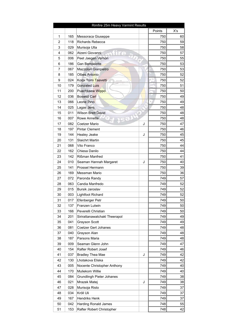|    |     | Rimfire 25m Heavy Varmint Results |        |                 |
|----|-----|-----------------------------------|--------|-----------------|
|    |     |                                   | Points | X's             |
| 1  | 165 | Messoraca Giuseppe                | 750    | 60              |
| 2  | 118 | Richards Rebecca                  | 750    | 59              |
| 3  | 029 | Murisoja Ulla                     | 750    | 58              |
| 4  | 062 | Atzeni Giovanni                   | 750    | 57              |
| 5  | 006 | Peet Jaegen Vernon                | 750    | 55              |
| 6  | 186 | <b>Gan Bernadette</b>             | 750    | 53              |
| 7  | 067 | Mazzolari Gianpietro              | 750    | 53              |
| 8  | 185 | Olbes Antonio                     | 750    | 52              |
| 9  | 024 | Korpi Tomi Taavetti               | 750    | 52              |
| 10 | 179 | <b>Gonzaled Luis</b>              | 750    | 51              |
| 11 | 200 | Puachkaew Wippo                   | 750    | 50              |
| 12 | 036 | <b>Boswell Carl</b>               | 750    | 49              |
| 13 | 066 | Leone Pino                        | 750    | 49              |
| 14 | 025 | Lagas Jens                        | 750    | 48              |
| 15 | 011 | <b>Wilson Brett David</b>         | 750    | 48              |
| 16 | 007 | Rowe Annette                      | 750    | 48              |
| 17 | 082 | Coetzer Mario<br>J                | 750    | 47              |
| 18 | 197 | <b>Pintar Clement</b>             | 750    | 46              |
| 19 | 144 | J<br>Healey Jeake                 | 750    | 45              |
| 20 | 131 | <b>Slaichrt Martin</b>            | 750    | 45              |
| 21 | 068 | Vito Franco                       | 750    | 44              |
| 22 | 162 | Chiesa Danilo                     | 750    | 44              |
| 23 | 142 | Rißman Manfred                    | 750    | 41              |
| 24 | 010 | J<br>Seaman Hannah Margaret       | 750    | 40              |
| 25 | 141 | Prossel Hermann                   | 750    | 39              |
| 26 | 169 | <b>Messman Mario</b>              | 750    | 36              |
| 27 | 072 | Paronda Randy                     | 749    | 57              |
| 28 | 063 | Candia Manfredo                   | 749    | 52              |
| 29 | 015 | Bursik Jaroslav                   | 749    | 52              |
| 30 | 003 | Lightfoot Richard                 | 749    | 52              |
| 31 | 017 | Efenberger Petr                   | 749    | 50 <sup>1</sup> |
| 32 | 137 | Franzen Lutwin                    | 749    | 50 <sub>0</sub> |
| 33 | 166 | Peverelli Christian               | 749    | 50              |
| 34 | 201 | Sirirattanawatchakl Theerapol     | 749    | 49              |
| 35 | 041 | <b>Grayson Scott</b>              | 749    | 49              |
| 36 | 081 | Coetzer Gert Johanes              | 749    | 48              |
| 37 | 040 | Grayson Alan                      | 749    | 48              |
| 38 | 187 | Parsons Maria                     | 749    | 48              |
| 39 | 009 | Seaman Glenn John                 | 749    | 47              |
| 40 | 154 | Rafter Robert Josef               | 749    | 46              |
| 41 | 037 | <b>Bradley Thea Mae</b><br>J      | 749    | 42              |
| 42 | 130 | Lhotakova Eliska                  | 749    | 42              |
| 43 | 005 | Nocente Christopher Anthony       | 749    | 40              |
| 44 | 170 | Muliekom Willie                   | 749    | 40              |
| 45 | 084 | Grundlingh Pieter Johanes         | 749    | 38              |
| 46 | 021 | Mrazek Matej<br>J                 | 749    | 38              |
| 47 | 028 | Murisoja Risto                    | 749    | 37              |
| 48 | 034 | Kröll Uli                         | 749    | 37              |
| 49 | 167 | Hendriks Henk                     | 749    | 37              |
| 50 | 042 | <b>Harding Ronald James</b>       | 748    | 55              |
| 51 | 153 | Rafter Robert Christopher         | 748    | 42              |
|    |     |                                   |        |                 |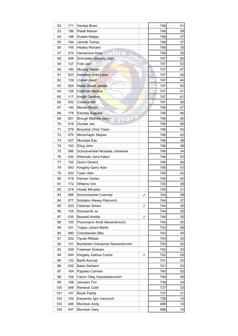| 52  | 171 | Verwijs Bram                     | 748 | 41              |
|-----|-----|----------------------------------|-----|-----------------|
| 53  | 196 | Petek Marian                     | 748 | 39              |
| 54  | 198 | Svetek Matjaz                    | 748 | 37              |
| 55  | 194 | Jamnik Tomaz                     | 748 | 37              |
| 56  | 145 | <b>Healey Richard</b>            | 748 | 35 <sup>2</sup> |
| 57  | 210 | Hamanova Ilona                   | 748 | 35              |
| 58  | 008 | Schneider Gregory Jogn           | 747 | 55              |
| 59  | 127 | Fokt Jan                         | 747 | 53              |
| 60  | 150 | Murphy Kieran                    | 747 | 47              |
| 61  | 023 | Ikaheimo Antti Lassi             | 747 | 45              |
| 62  | 129 | Lhotak Josef                     | 747 | 44              |
| 63  | 004 | <b>Neale Stuart James</b>        | 747 | 42              |
| 64  | 136 | Feldman Markus                   | 747 | 41              |
| 65  | 117 | <b>Knight Geofrey</b>            | 747 | 41              |
| 66  | 002 | Collaros Bill                    | 747 | 36              |
| 67  | 140 | <b>Menke Martin</b>              | 746 | 47              |
| 68  | 176 | Estrada Augusto                  | 746 | 46              |
| 69  | 001 | <b>Brough Mathew Gary</b>        | 746 | 46              |
| 70  | 016 | Durdak Jan                       | 746 | 46              |
| 71  | 079 | Broodryk Chris Tiaan             | 746 | 43              |
| 72  | 075 | Morschagin Stepan                | 746 | 42              |
| 73  | 027 | Murisoja Eija                    | 746 | 38              |
| 74  | 143 | Eling John                       | 746 | 38              |
| 75  | 086 | Schoonwinkel Nicolaas Johannes   | 746 | 34              |
| 76  | 030 | Riihimaki Juha Kalevi            | 746 | 33              |
| 77  | 152 | Quinn Gerard                     | 746 | 26              |
| 78  | 043 | Kingaby Garry Alan               | 745 | 43              |
| 79  | 203 | <b>Tyian Uten</b>                | 745 | 42              |
| 80  | 018 | Haman Vaclav                     | 745 | 40              |
| 81  | 172 | Willems Vim                      | 745 | 39              |
|     |     |                                  |     |                 |
| 82  | 019 | Hosek Miroslav                   | 745 | 31              |
| 83  | 085 | Schoonwinkel Coenrad<br>J        | 744 | 38              |
| 84  | 077 | Soldatov Alexey Petrovich        | 744 | 37              |
| 85  | 033 | J<br>Feldman Simon               | 744 | 35              |
| 86  | 135 | Domaschk Jo                      | 744 | 35              |
| 87  | 035 | <b>Boswell Achille</b><br>J      | 744 | 35              |
| 88  | 103 | Ponomarov Andii Alexandrovich    | 744 | 25              |
| 89  | 031 | Tulppo Juhani Martti             | 743 | 36              |
| 90  | 080 | Chamberlain Billy                | 743 | 34              |
| 91  | 202 | <b>Tiprak Rittidat</b>           | 743 | 33              |
| 92  | 101 | Bozhenko Volodymyr Alexandrovich | 743 | 32              |
| 93  | 039 | Freeman Graham                   | 742 | 33              |
| 94  | 044 | Kingaby Joshua Curtus<br>J       | 742 | 26              |
| 95  | 133 | Barth Konrad                     | 741 | 35              |
| 96  | 032 | <b>Baier Gerhard</b>             | 741 | 33              |
| 97  | 164 | Papaleo Carmen                   | 740 | 53              |
| 98  | 104 | Yanov Oleg Vyacheslavovich       | 740 | 39              |
| 99  | 168 | Janssen Ton                      | 738 | 34              |
| 100 | 048 | Renwick Colin                    | 737 | 33              |
| 101 | 147 | <b>Boyle Paddy</b>               | 737 | 31              |
| 102 | 102 | Karpenko Igor Ivanovich          | 736 | 15              |
| 103 | 046 | Morrison Andy                    | 489 | 4               |
| 104 | 047 | Morrison Gary                    | 488 | 14              |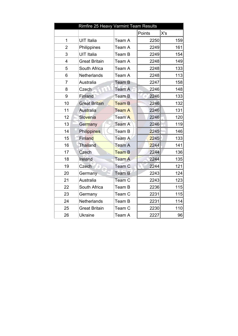|                | Rimfire 25 Heavy Varmint Team Results |               |        |     |
|----------------|---------------------------------------|---------------|--------|-----|
|                |                                       |               | Points | X's |
| 1              | <b>UIT Italia</b>                     | Team A        | 2250   | 159 |
| 2              | Philippines                           | Team A        | 2249   | 161 |
| 3              | <b>UIT Italia</b>                     | Team B        | 2249   | 154 |
| $\overline{4}$ | <b>Great Britain</b>                  | Team A        | 2248   | 149 |
| 5              | South Africa                          | Team A        | 2248   | 133 |
| 6              | <b>Netherlands</b>                    | Team A        | 2248   | 113 |
| $\overline{7}$ | Australia                             | <b>Team B</b> | 2247   | 158 |
| 8              | Czech                                 | Team A        | 2246   | 148 |
| 9              | <b>Finland</b>                        | Team B        | 2246   | 133 |
| 10             | <b>Great Britain</b>                  | <b>Team B</b> | 2246   | 132 |
| 11             | Australia                             | <b>Team A</b> | 2246   | 131 |
| 12             | Slovenia                              | Team A        | 2246   | 120 |
| 13             | Germany                               | Team A        | 2246   | 119 |
| 14             | <b>Philippines</b>                    | Team B        | 2245   | 146 |
| 15             | Finland                               | Team A        | 2245   | 133 |
| 16             | Thailand                              | Team A        | 2244   | 141 |
| 17             | Czech                                 | <b>Team B</b> | 2244   | 136 |
| 18             | Ireland                               | <b>Team A</b> | 2244   | 135 |
| 19             | Czech                                 | Team C        | 2244   | 121 |
| 20             | Germany                               | <b>Team B</b> | 2243   | 124 |
| 21             | Australia                             | Team C        | 2243   | 123 |
| 22             | South Africa                          | Team B        | 2236   | 115 |
| 23             | Germany                               | Team C        | 2231   | 115 |
| 24             | Netherlands                           | Team B        | 2231   | 114 |
| 25             | <b>Great Britain</b>                  | Team C        | 2230   | 110 |
| 26             | <b>Ukraine</b>                        | Team A        | 2227   | 96  |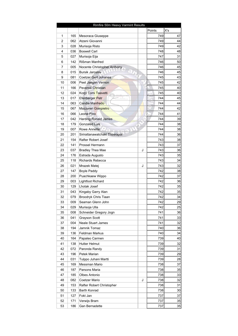|          |            | Rimfire 50m Heavy Varmint Results         |     |        |                 |
|----------|------------|-------------------------------------------|-----|--------|-----------------|
|          |            |                                           |     | Points | X's             |
| 1        | 165        | Mesoraca Giuseppe                         |     | 749    | 47              |
| 2        | 062        | Atzeni Giovanni                           |     | 749    | 44              |
| 3        | 028        | Murisoja Risto                            | 749 | 42     |                 |
| 4        | 036        | <b>Boswell Carl</b>                       |     | 748    | 48              |
| 5        | 027        | Murisoja Eija                             |     | 747    | 31              |
| 6        | 142        | Rißman Manfred                            |     | 746    | 50              |
| 7        | 005        | Nocente Christopher Anthony               |     | 746    | 45              |
| 8        | 015        | <b>Bursik Jaroslav</b>                    |     | 746    | 45              |
| 9        | 081        | <b>Coetzer Gert Johanes</b>               |     | 745    | 43              |
| 10       | 006        | Peet Jaegen Vernon                        |     | 745    | 42              |
| 11       | 166        | Peverelli Christian                       |     | 745    | 40              |
| 12       | 024        | Korpi Tomi Taavetti                       |     | 745    | 40              |
| 13       | 017        | Efenberger Petr                           |     | 744    | 45              |
| 14       | 063        | Candia Manfredo                           |     | 744    | 44              |
| 15       | 067        | Mazzolari Gianpietro                      |     | 744    | 42              |
| 16       | 066        | Leone Pino                                |     | 744    | 41              |
| 17       | 042        | <b>Harding Ronald James</b>               |     | 744    | 39              |
| 18       | 179        | <b>Gonzaled Luis</b>                      |     | 744    | 38              |
| 19       | 007        | Rowe Annette                              |     | 744    | 38              |
| 20       | 201        | Sirirattanawatchakl Theerapol             |     | 744    | 36              |
| 21       | 154        | Rafter Robert Josef                       |     | 743    | 38              |
| 22       | 141        | Prossel Hermann                           |     | 743    | 37              |
| 23       | 037        | <b>Bradley Thea Mae</b>                   | J   | 743    | 36              |
| 24       | 176        | Estrada Augusto                           |     | 743    | 35              |
| 25       | 118        | <b>Richards Rebecca</b>                   |     | 743    | 34              |
| 26       | 021        |                                           | J   | 743    | 32              |
| 27       |            | Mrazek Matej                              |     | 742    |                 |
| 28       | 147<br>200 | <b>Boyle Paddy</b>                        |     | 742    | 38<br>37        |
|          |            | Puachkaew Wippo                           |     | 742    |                 |
| 29       | 003<br>129 | Lightfoot Richard<br><b>Lhotak Josef</b>  |     | 742    | 36              |
| 30<br>31 | 043        |                                           |     | 742    | 35<br>35        |
|          |            | Kingaby Garry Alan                        |     | 742    | 34              |
| 32       | 079        | Broodryk Chris Tiaan<br>Seaman Glenn John |     | 742    |                 |
| 33       | 009        |                                           |     | 742    | 29              |
| 34       | 029        | Murisoja Ulla                             |     | 741    | 25              |
| 35       | 008        | Schneider Gregory Jogn                    |     | 741    | 36              |
| 36       | 041        | Grayson Scott<br>Neale Stuart James       |     | 741    | 33<br>32        |
| 37       | 004        | Jamnik Tomaz                              |     | 740    |                 |
| 38       | 194        |                                           |     | 740    | 36              |
| 39       | 136        | Feldman Markus                            |     | 739    | 34<br>40        |
| 40       | 164        | Papaleo Carmen                            |     |        |                 |
| 41       | 138        | <b>Hutter Helmut</b>                      |     | 739    | 32              |
| 42       | 072        | Paronda Randy                             |     | 739    | 31              |
| 43       | 196        | Petek Marian                              |     | 739    | 29              |
| 44       | 031        | Tulppo Juhani Martti                      |     | 739    | 28              |
| 45       | 169        | Messman Mario                             |     | 738    | 37              |
| 46       | 187        | Parsons Maria                             |     | 738    | 35              |
| 47       | 185        | <b>Olbes Antonio</b>                      |     | 738    | 33              |
| 48       | 082        | Coetzer Mario                             | J   | 738    | 32              |
| 49       | 153        | Rafter Robert Christopher                 |     | 738    | 31              |
| 50       | 133        | Barth Konrad                              |     | 738    | 30 <sup>2</sup> |
| 51       | 127        | Fokt Jan                                  |     | 737    | 37              |
| 52       | 171        | Verwijs Bram                              |     | 737    | 35              |
| 53       | 186        | Gan Bernadette                            |     | 737    | 35              |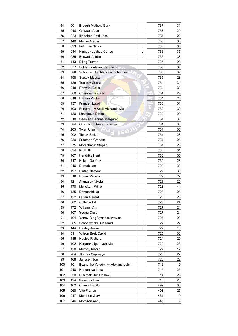| 54  | 001 | Brough Mathew Gary               |     | 737 | 31 |
|-----|-----|----------------------------------|-----|-----|----|
| 55  | 040 | Grayson Alan                     |     | 737 | 29 |
| 56  | 023 | Ikaheimo Antti Lassi             |     | 737 | 29 |
| 57  | 140 | Menke Martin                     |     | 736 | 38 |
| 58  | 033 | Feldman Simon                    | 736 | 35  |    |
| 59  | 044 | Kingaby Joshua Curtus            | J   | 736 | 35 |
| 60  | 035 | Boswell Achille                  | J   | 736 | 33 |
| 61  | 143 | <b>Elling Trevor</b>             |     | 736 | 28 |
| 62  | 077 | Soldatov Alexey Petrovich        |     | 735 | 33 |
| 63  | 086 | Schoonwinkel Nicolaas Johannes   |     | 735 | 32 |
| 64  | 198 | Svetek Matjaz                    |     | 735 | 28 |
| 65  | 126 | <b>Topalov Georgi</b>            |     | 734 | 34 |
| 66  | 048 | Renwick Colin                    |     | 734 | 30 |
| 67  | 080 | Chamberl <mark>ain</mark> Billy  |     | 734 | 29 |
| 68  | 018 | Haman Vaclav                     |     | 734 | 25 |
| 69  | 137 | Franzen Lutwin                   |     | 733 | 31 |
| 70  | 103 | Ponomarov Andii Alexandrovich    |     | 732 | 30 |
| 71  | 130 | Lhotakova Eliska                 |     | 732 | 29 |
| 72  | 010 | Seaman Hannah Margaret           | J   | 731 | 38 |
| 73  | 084 | <b>Grundlingh Pieter Johanes</b> |     | 731 | 33 |
| 74  | 203 | <b>Tyian Uten</b>                |     | 731 | 30 |
| 75  | 202 | Tiprak Rittidat                  |     | 731 | 28 |
| 76  | 039 | Freeman Graham                   |     | 731 | 28 |
| 77  | 075 | Morschagin Stepan                |     | 731 | 26 |
| 78  | 034 | Kröll Uli                        |     | 730 | 31 |
| 79  | 167 | Hendriks Henk                    |     | 730 | 30 |
| 80  | 117 | Knight Geofrey                   |     | 730 | 28 |
| 81  | 016 | Durdak Jan                       |     | 729 | 33 |
| 82  | 197 | <b>Pintar Clement</b>            |     | 729 | 30 |
| 83  | 019 | Hosek Miroslav                   |     | 729 | 27 |
| 84  | 121 | Atanasov Nikolai                 |     | 729 | 26 |
| 85  | 170 | Muliekom Willie                  |     | 728 | 44 |
| 86  | 135 | Domaschk Jo                      |     | 728 | 28 |
| 87  | 152 | Quinn Gerard                     |     | 728 | 26 |
| 88  | 002 | Collaros Bill                    |     | 728 | 24 |
| 89  | 172 | Willems Vim                      |     | 727 | 24 |
| 90  | 107 | Young Craig                      |     | 727 | 24 |
| 91  | 104 | Yanov Oleg Vyacheslavovich       |     | 727 | 23 |
| 92  | 085 | Schoonwinkel Coenrad             | J   | 727 | 22 |
| 93  | 144 | Healey Jeake                     | J   | 727 | 18 |
| 94  | 011 | Wilson Brett David               |     | 725 | 38 |
| 95  | 145 | <b>Healey Richard</b>            |     | 724 | 29 |
| 96  | 102 | Karpenko Igor Ivanovich          |     | 722 | 26 |
| 97  | 150 | Murphy Kieran                    |     | 722 | 17 |
| 98  | 204 | Thiprak Supreeya                 |     | 720 | 22 |
| 99  | 168 | Janssen Ton                      |     | 720 | 22 |
| 100 | 101 | Bozhenko Volodymyr Alexandrovich |     | 716 | 19 |
| 101 | 210 | Hamanova Ilona                   |     | 715 | 25 |
| 102 | 030 | Riihimaki Juha Kalevi            |     | 714 | 25 |
| 103 | 124 | Kasabov Ivan                     |     | 713 | 23 |
| 104 | 162 | Chiesa Danilo                    |     | 497 | 30 |
| 105 | 068 | Vito Franco                      |     | 493 | 25 |
| 106 | 047 | Morrison Gary                    |     | 461 | 9  |
| 107 | 046 | Morrison Andy                    |     | 446 | 9  |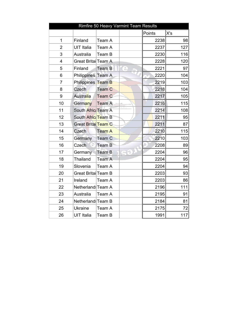|                |                            | Rimfire 50 Heavy Varmint Team Results |        |     |
|----------------|----------------------------|---------------------------------------|--------|-----|
|                |                            |                                       | Points | X's |
| 1              | Finland                    | Team A                                | 2238   | 98  |
| $\overline{2}$ | <b>UIT Italia</b>          | Team A                                | 2237   | 127 |
| 3              | Australia                  | Team B                                | 2230   | 116 |
| $\overline{4}$ | Great Britai Team A        |                                       | 2228   | 120 |
| 5              | Finland                    | Team B                                | 2221   | 97  |
| 6              | Philippines Team A         |                                       | 2220   | 104 |
| $\overline{7}$ | Philippines Team B         |                                       | 2219   | 103 |
| 8              | Czech                      | Team C                                | 2218   | 104 |
| 9              | <b>Australia</b>           | Team C                                | 2217   | 105 |
| 10             | Germany                    | <b>Team A</b>                         | 2216   | 115 |
| 11             | South Afric: Team A        |                                       | 2214   | 108 |
| 12             | South Africt Team B        |                                       | 2211   | 95  |
| 13             | <b>Great Brital Team C</b> |                                       | 2211   | 87  |
| 14             | Czech                      | <b>Team A</b>                         | 2210   | 115 |
| 15             | Germany                    | <b>Team C</b>                         | 2210   | 103 |
| 16             | Czech                      | <b>Team B</b>                         | 2208   | 89  |
| 17             | Germany                    | Team B                                | 2204   | 96  |
| 18             | Thailand                   | Team A                                | 2204   | 95  |
| 19             | Slovenia                   | Team A                                | 2204   | 94  |
| 20             | Great Britai Team B        |                                       | 2203   | 93  |
| 21             | Ireland                    | Team A                                | 2203   | 86  |
| 22             | Netherland: Team A         |                                       | 2196   | 111 |
| 23             | Australia                  | Team A                                | 2195   | 91  |
| 24             | Netherland Team B          |                                       | 2184   | 81  |
| 25             | <b>Ukraine</b>             | Team A                                | 2175   | 72  |
| 26             | <b>UIT Italia</b>          | Team B                                | 1991   | 117 |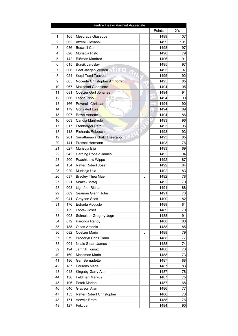| Rimfire Heavy Varmint Aggregate |     |                               |              |                 |  |  |  |
|---------------------------------|-----|-------------------------------|--------------|-----------------|--|--|--|
|                                 |     |                               | Points       | X's             |  |  |  |
| $\mathbf{1}$                    | 165 | Mesoraca Giuseppe             | 1499         | 107             |  |  |  |
| 2                               | 062 | Atzeni Giovanni               | 1499         | 101             |  |  |  |
| 3                               | 036 | <b>Boswell Carl</b>           | 1498         | 97              |  |  |  |
| 4                               | 028 | Murisoja Risto                | 1498         | 79              |  |  |  |
| 5                               | 142 | Rißman Manfred                | 1496         | 91              |  |  |  |
| 6                               | 015 | Bursik Jaroslav               | 1495         | 97              |  |  |  |
| $\overline{7}$                  | 006 | Peet Jaegen Vernon            | 1495         | 97              |  |  |  |
| 8                               | 024 | Korpi Tomi Taavetti           | 1495         | 92              |  |  |  |
| 9                               | 005 | Nocente Christopher Anthony   | 1495         | 85              |  |  |  |
| 10                              | 067 | Mazzolari Gianpietro          | 1494         | 95              |  |  |  |
| 11                              | 081 | Coetzer Gert Johanes          | 1494         | 91              |  |  |  |
| 12                              | 066 | Leone Pino                    | 1494         | 90 <sub>0</sub> |  |  |  |
| 13                              | 166 | Peverelli Christian           | 1494         | 90 <sub>0</sub> |  |  |  |
| 14                              | 179 | <b>Gonzaled Luis</b>          | 1494         | 89              |  |  |  |
| 15                              | 007 | <b>Rowe Annette</b>           | 1494         | 86              |  |  |  |
| 16                              | 063 | Candia Manfredo               | 1493         | 96              |  |  |  |
| 17                              | 017 | <b>Efenberger Petr</b>        | 1493         | 95              |  |  |  |
| 18                              | 118 | <b>Richards Rebecca</b>       | 1493         | 93              |  |  |  |
| 19                              | 201 | Sirirattanawatchakl Theerapol | 1493         | 85              |  |  |  |
| 20                              | 141 | Prossel Hermann               | 1493         | 76              |  |  |  |
| 21                              | 027 | Murisoja Eija                 | 1493         | 69              |  |  |  |
| 22                              | 042 | <b>Harding Ronald James</b>   | 1492         | 94              |  |  |  |
| 23                              | 200 | Puachkaew Wippo               | 1492         | 87              |  |  |  |
| 24                              | 154 | Rafter Robert Josef           | 1492         | 84              |  |  |  |
| 25                              | 029 | Murisoja Ulla                 | 1492         | 83              |  |  |  |
| 26                              | 037 | <b>Bradley Thea Mae</b><br>J  | 1492         | 78              |  |  |  |
| 27                              | 021 | Mrazek Matej<br>J             | 1492         | 70              |  |  |  |
| 28                              | 003 | Lightfoot Richard             | 1491         | 88              |  |  |  |
| 29                              | 009 | Seaman Glenn John             | 1491         | 76              |  |  |  |
| 30                              | 041 | <b>Grayson Scott</b>          | 1490         | 82              |  |  |  |
| 31                              | 176 | Estrada Augusto               | 1489         | 81              |  |  |  |
| 32                              | 129 | Lhotak Josef                  | 1489         | 79              |  |  |  |
| 33                              | 008 | Schneider Gregory Jogn        | 1488         | 91              |  |  |  |
| 34                              | 072 | Paronda Randy                 | 1488         | 88              |  |  |  |
| 35                              | 185 | Olbes Antonio                 | 1488         | 85              |  |  |  |
| 36                              | 082 | Coetzer Mario<br>J            | 1488         | 79              |  |  |  |
| 37                              | 079 | Broodryk Chris Tiaan          | 1488         | 77              |  |  |  |
| 38                              | 004 | <b>Neale Stuart James</b>     | 1488         | 74              |  |  |  |
| 39                              | 194 | Jamnik Tomaz                  | 1488         | 73              |  |  |  |
| 40                              |     | Messman Mario                 |              |                 |  |  |  |
| 41                              | 169 |                               | 1488<br>1487 | 73<br>88        |  |  |  |
|                                 | 186 | Gan Bernadette                |              |                 |  |  |  |
| 42<br>43                        | 187 | Parsons Maria                 | 1487<br>1487 | 83<br>78        |  |  |  |
|                                 | 043 | Kingaby Garry Alan            |              |                 |  |  |  |
| 44                              | 136 | Feldman Markus                | 1487         | 75              |  |  |  |
| 45                              | 196 | Petek Marian                  | 1487         | 68              |  |  |  |
| 46                              | 040 | Grayson Alan                  | 1486         | 77              |  |  |  |
| 47                              | 153 | Rafter Robert Christopher     | 1486         | 73              |  |  |  |
| 48                              | 171 | Verwijs Bram                  | 1485         | 76              |  |  |  |
| 49                              | 127 | Fokt Jan                      | 1484         | 90 <sub>0</sub> |  |  |  |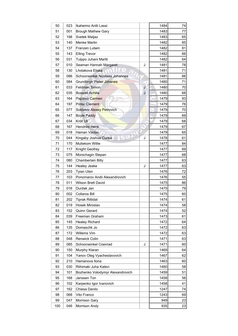| 50  | 023 | Ikaheimo Antti Lassi             |   | 1484 | 74 |
|-----|-----|----------------------------------|---|------|----|
| 51  | 001 | <b>Brough Mathew Gary</b>        |   | 1483 | 77 |
| 52  | 198 | Svetek Matjaz                    |   | 1483 | 65 |
| 53  | 140 | Menke Martin                     |   | 1482 | 85 |
| 54  | 137 | Franzen Lutwin                   |   | 1482 | 81 |
| 55  | 143 | <b>Elling Trevor</b>             |   | 1482 | 66 |
| 56  | 031 | Tulppo Juhani Martti             |   | 1482 | 64 |
| 57  | 010 | Seaman Hannah Margaret           | J | 1481 | 78 |
| 58  | 130 | Lhotakova Eliska                 |   | 1481 | 71 |
| 59  | 086 | Schoonwinkel Nicolaas Johannes   |   | 1481 | 66 |
| 60  | 084 | Grundlingh Pieter Johanes        |   | 1480 | 71 |
| 61  | 033 | <b>Feldman Simon</b>             | J | 1480 | 70 |
| 62  | 035 | <b>Boswell Achille</b>           | J | 1480 | 68 |
| 63  | 164 | Papaleo Carmen                   |   | 1479 | 93 |
| 64  | 197 | <b>Pintar Clement</b>            |   | 1479 | 76 |
| 65  | 077 | Soldatov Alexey Petrovich        |   | 1479 | 70 |
| 66  | 147 | <b>Boyle Paddy</b>               |   | 1479 | 69 |
| 67  | 034 | Kröll Uli                        |   | 1479 | 68 |
| 68  | 167 | <b>Hendriks Henk</b>             |   | 1479 | 67 |
| 69  | 018 | Haman Vaclav                     |   | 1479 | 65 |
| 70  | 044 | Kingaby Joshua Curtus            | J | 1478 | 61 |
| 71  | 170 | Muliekom Willie                  |   | 1477 | 84 |
| 72  | 117 | Knight Geofrey                   |   | 1477 | 69 |
| 73  | 075 | Morschagin Stepan                |   | 1477 | 68 |
| 74  | 080 | Chamberlain Billy                |   | 1477 | 63 |
| 75  | 144 | Healey Jeake                     | J | 1477 | 63 |
| 76  | 203 | Tyian Uten                       |   | 1476 | 72 |
| 77  | 103 | Ponomarov Andii Alexandrovich    |   | 1476 | 55 |
| 78  | 011 | <b>Wilson Brett David</b>        |   | 1475 | 86 |
| 79  | 016 | Durdak Jan                       |   | 1475 | 79 |
| 80  | 002 | <b>Collaros Bill</b>             |   | 1475 | 60 |
| 81  | 202 | <b>Tiprak Rittidat</b>           |   | 1474 | 61 |
| 82  | 019 | Hosek Miroslav                   |   | 1474 | 58 |
| 83  | 152 | Quinn Gerard                     |   | 1474 | 52 |
| 84  | 039 | Freeman Graham                   |   | 1473 | 61 |
| 85  | 145 | Healey Richard                   |   | 1472 | 64 |
| 86  | 135 | Domaschk Jo                      |   | 1472 | 63 |
| 87  | 172 | Willems Vim                      |   | 1472 | 63 |
| 88  | 048 | <b>Renwick Colin</b>             |   | 1471 | 63 |
| 89  | 085 | Schoonwinkel Coenrad             | J | 1471 | 60 |
| 90  | 150 | Murphy Kieran                    |   | 1469 | 64 |
| 91  | 104 | Yanov Oleg Vyacheslavovich       |   | 1467 | 62 |
| 92  | 210 | Hamanova Ilona                   |   | 1463 | 60 |
| 93  | 030 | Riihimaki Juha Kalevi            |   | 1460 | 58 |
| 94  | 101 | Bozhenko Volodymyr Alexandrovich |   | 1459 | 51 |
| 95  | 168 | Janssen Ton                      |   | 1458 | 56 |
| 96  | 102 | Karpenko Igor Ivanovich          |   | 1458 | 41 |
| 97  | 162 | Chiesa Danilo                    |   | 1247 | 74 |
| 98  | 068 | Vito Franco                      |   | 1243 | 69 |
| 99  | 047 | <b>Morrison Gary</b>             |   | 949  | 23 |
| 100 | 046 | Morrison Andy                    |   | 935  | 23 |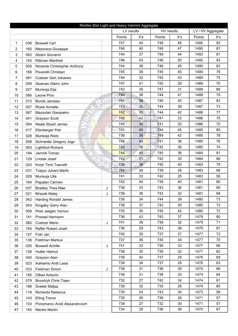| Rimfire 50m Light and Heavy Varmint Aggregate |     |                                  |            |        |            |        |                   |        |     |
|-----------------------------------------------|-----|----------------------------------|------------|--------|------------|--------|-------------------|--------|-----|
|                                               |     |                                  | LV results |        | HV results |        | LV / HV Aggregate |        |     |
|                                               |     |                                  |            | Points | X's        | Points | X's               | Points | X's |
| 1                                             | 036 | <b>Boswell Carl</b>              |            | 747    | 44         | 748    | 48                | 1495   | 92  |
| $\overline{2}$                                | 165 | Mesoraca Giuseppe                |            | 746    | 40         | 749    | 47                | 1495   | 87  |
| 3                                             | 062 | Atzeni Giovanni                  |            | 744    | 37         | 749    | 44                | 1493   | 81  |
| 4                                             | 142 | Rißman Manfred                   |            | 746    | 43         | 746    | 50                | 1492   | 93  |
| 5                                             | 005 | Nocente Christopher Anthony      |            | 744    | 38         | 746    | 45                | 1490   | 83  |
| 6                                             | 166 | Peverelli Christian              |            | 745    | 39         | 745    | 40                | 1490   | 79  |
| 7                                             | 081 | <b>Coetzer Gert Johanes</b>      |            | 744    | 32         | 745    | 43                | 1489   | 75  |
| 8                                             | 009 | Seaman Glenn John                |            | 747    | 41         | 742    | 29                | 1489   | 70  |
| 9                                             | 027 | Murisoja Eija                    |            | 742    | 35         | 747    | 31                | 1489   | 66  |
| 10                                            | 066 | Leone Pino                       |            | 744    | 38         | 744    | 41                | 1488   | 79  |
| 11                                            | 015 | <b>Bursik Jaroslav</b><br>$\phi$ |            | 741    | 38         | 746    | 45                | 1487   | 83  |
| 12                                            | 007 | Rowe Annette                     |            | 743    | 35         | 744    | 38                | 1487   | 73  |
| 13                                            | 067 | Mazzolari Gianpietro             |            | 742    | 35         | 744    | 42                | 1486   | 77  |
| 14                                            | 041 | <b>Grayson Scott</b><br>$\circ$  |            | 745    | 42         | 741    | 33                | 1486   | 75  |
| 15                                            | 004 | Neale Stuart James               |            | 745    | 38         | 741    | 32                | 1486   | 70  |
| 16                                            | 017 | Efenberger Petr                  |            | 741    | 40         | 744    | 45                | 1485   | 85  |
| 17                                            | 028 | Murisoja Risto                   |            | 736    | 36         | 749    | 42                | 1485   | 78  |
| 18                                            | 008 | Schneider Gregory Jogn           |            | 744    | 40         | 741    | 36                | 1485   | 76  |
| 19                                            | 003 | <b>Lightfoot Richard</b>         |            | 743    | 38         | 742    | 36                | 1485   | 74  |
| 20                                            | 194 | Jamnik Tomaz                     |            | 744    | 45         | 740    | 36                | 1484   | 81  |
| 21                                            | 129 | Lhotak Josef                     |            | 742    | 31         | 742    | 35                | 1484   | 66  |
| 22                                            | 024 | Korpi Tomi Taavetti              |            | 738    | 38         | 745    | 40                | 1483   | 78  |
| 23                                            | 031 | Tulppo Juhani Martti             |            | 744    | 38         | 739    | 28                | 1483   | 66  |
| 24                                            | 029 | Murisoja Ulla                    |            | 741    | 33         | 742    | 25                | 1483   | 58  |
| 25                                            | 164 | Papaleo Carmen                   |            | 742    | 40         | 739    | 40                | 1481   | 80  |
| 26                                            | 037 | <b>Bradley Thea Mae</b>          | J          | 738    | 33         | 743    | 36                | 1481   | 69  |
| 27                                            | 021 | Mrazek Matej                     | J          | 738    | 36         | 743    | 32                | 1481   | 68  |
| 28                                            | 042 | <b>Harding Ronald James</b>      |            | 736    | 34         | 744    | 39                | 1480   | 73  |
| 29                                            | 043 | Kingaby Garry Alan               |            | 738    | 37         | 742    | 35                | 1480   | 72  |
| 30                                            | 006 | Peet Jaegen Vernon               |            | 735    | 30         | 745    | 42                | 1480   | 72  |
| 31                                            | 141 | Prossel Hermann                  |            | 736    | 43         | 743    | 37                | 1479   | 80  |
| 32                                            | 082 | Coetzer Mario                    | J          | 741    | 39         | 738    | 32                | 1479   | 71  |
| 33                                            | 154 | Rafter Robert Josef              |            | 736    | 29         | 743    | 38                | 1479   | 67  |
| 34                                            | 127 | Fokt Jan                         |            | 740    | 35         | 737    | 37                | 1477   | 72  |
| 35                                            | 136 | Feldman Markus                   |            | 737    | 36         | 740    | 34                | 1477   | 70  |
| 36                                            | 035 | <b>Boswell Achille</b>           | J          | 741    | 33         | 736    | 33                | 1477   | 66  |
| 37                                            | 138 | <b>Hutter Helmut</b>             |            | 738    | 30         | 739    | 32                | 1477   | 62  |
| 38                                            | 040 | Grayson Alan                     |            | 739    | 40         | 737    | 29                | 1476   | 69  |
| 39                                            | 023 | Ikaheimo Antti Lassi             |            | 739    | 34         | 737    | 29                | 1476   | 63  |
| 40                                            | 033 | Feldman Simon                    | J          | 738    | 31         | 736    | 35                | 1474   | 66  |
| 41                                            | 185 | Olbes Antonio                    |            | 736    | 31         | 738    | 33                | 1474   | 64  |
| 42                                            | 079 | Broodryk Chris Tiaan             |            | 732    | 27         | 742    | 34                | 1474   | 61  |
| 43                                            | 198 | Svetek Matjaz                    |            | 739    | 32         | 735    | 28                | 1474   | 60  |
| 44                                            | 118 | Richards Rebecca                 |            | 730    | 24         | 743    | 34                | 1473   | 58  |
| 45                                            | 143 | <b>Elling Trevor</b>             |            | 735    | 29         | 736    | 28                | 1471   | 57  |
| 46                                            | 103 | Ponomarov Andii Alexandrovich    |            | 739    | 27         | 732    | 30                | 1471   | 57  |
| 47                                            | 140 | Menke Martin                     |            | 734    | 29         | 736    | 38                | 1470   | 67  |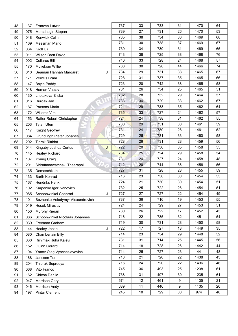| 48 | 137 | Franzen Lutwin                                       |   | 737 | 33     | 733 | 31 | 1470 | 64 |
|----|-----|------------------------------------------------------|---|-----|--------|-----|----|------|----|
| 49 | 075 | Morschagin Stepan                                    |   | 739 | 27     | 731 | 26 | 1470 | 53 |
| 50 | 048 | Renwick Colin                                        |   | 735 | 38     | 734 | 30 | 1469 | 68 |
| 51 | 169 | Messman Mario                                        |   | 731 | 30     | 738 | 37 | 1469 | 67 |
| 52 | 034 | Kröll Uli                                            |   | 739 | 34     | 730 | 31 | 1469 | 65 |
| 53 | 011 | <b>Wilson Brett David</b>                            |   | 743 | 38     | 725 | 38 | 1468 | 76 |
| 54 | 002 | <b>Collaros Bill</b>                                 |   | 740 | 33     | 728 | 24 | 1468 | 57 |
| 55 | 170 | Muliekom Willie                                      |   | 738 | 30     | 728 | 44 | 1466 | 74 |
| 56 | 010 | Seaman Hannah Margaret                               | J | 734 | 29     | 731 | 38 | 1465 | 67 |
| 57 | 171 | Verwijs Bram                                         |   | 728 | 31     | 737 | 35 | 1465 | 66 |
| 58 | 147 | <b>Boyle Paddy</b>                                   |   | 723 | 20     | 742 | 38 | 1465 | 58 |
| 59 | 018 | Haman Vaclav                                         |   | 731 | 26     | 734 | 25 | 1465 | 51 |
| 60 | 130 | Lhotakova Eliska                                     |   | 732 | 28     | 732 | 29 | 1464 | 57 |
| 61 | 016 | Durdak Jan<br>÷                                      |   | 733 | 34     | 729 | 33 | 1462 | 67 |
| 62 | 187 | Parsons Maria                                        |   | 724 | 29     | 738 | 35 | 1462 | 64 |
| 63 | 172 | Willems Vim                                          |   | 735 | 33     | 727 | 24 | 1462 | 57 |
| 64 | 153 | Rafter Robert Christopher<br>$\qquad \qquad \otimes$ |   | 724 | 24     | 738 | 31 | 1462 | 55 |
| 65 | 203 | <b>Tyian Uten</b>                                    |   | 730 | 29     | 731 | 30 | 1461 | 59 |
| 66 | 117 | Knight Geofrey                                       |   | 731 | 24     | 730 | 28 | 1461 | 52 |
| 67 | 084 | <b>Grundlingh Pieter Johanes</b>                     |   | 729 | 25     | 731 | 33 | 1460 | 58 |
| 68 | 202 | <b>Tiprak Rittidat</b>                               |   | 728 | 28     | 731 | 28 | 1459 | 56 |
| 69 | 044 | Kingaby Joshua Curtus                                | J | 722 | 20     | 736 | 35 | 1458 | 55 |
| 70 | 145 | <b>Healey Richard</b>                                |   | 734 | 25     | 724 | 29 | 1458 | 54 |
| 71 | 107 | Young Craig                                          |   | 731 | 24     | 727 | 24 | 1458 | 48 |
| 72 | 201 | Sirirattanawatchakl Theerapol                        |   | 712 | 20     | 744 | 36 | 1456 | 56 |
| 73 | 135 | Domaschk Jo                                          |   | 727 | 31     | 728 | 28 | 1455 | 59 |
| 74 | 133 | <b>Barth Konrad</b>                                  |   | 716 | 23     | 738 | 30 | 1454 | 53 |
| 75 | 167 | Hendriks Henk                                        |   | 724 | 21     | 730 | 30 | 1454 | 51 |
| 76 | 102 | Karpenko Igor Ivanovich                              |   | 732 | 25     | 722 | 26 | 1454 | 51 |
| 77 | 085 | Schoonwinkel Coenrad                                 | J | 727 | 27     | 727 | 22 | 1454 | 49 |
| 78 | 101 | Bozhenko Volodymyr Alexandrovich                     |   | 737 | 36     | 716 | 19 | 1453 | 55 |
| 79 | 019 | Hosek Miroslav                                       |   | 724 | 24     | 729 | 27 | 1453 | 51 |
| 80 | 150 | Murphy Kieran                                        |   | 730 | 26     | 722 | 17 | 1452 | 43 |
| 81 | 086 | Schoonwinkel Nicolaas Johannes                       |   | 716 | 22     | 735 | 32 | 1451 | 54 |
| 82 | 039 | Freeman Graham                                       |   | 719 | 30     | 731 | 28 | 1450 | 58 |
| 83 | 144 | Healey Jeake                                         | J | 722 | 17     | 727 | 18 | 1449 | 35 |
| 84 | 080 | Chamberlain Billy                                    |   | 714 | 23     | 734 | 29 | 1448 | 52 |
| 85 | 030 | Riihimaki Juha Kalevi                                |   | 731 | 31     | 714 | 25 | 1445 | 56 |
| 86 | 152 | Quinn Gerard                                         |   | 714 | 18     | 728 | 26 | 1442 | 44 |
| 87 | 104 | Yanov Oleg Vyacheslavovich                           |   | 714 | 25     | 727 | 23 | 1441 | 48 |
| 88 | 168 | Janssen Ton                                          |   | 718 | 21     | 720 | 22 | 1438 | 43 |
| 89 | 204 | Thiprak Supreeya                                     |   | 716 | 24     | 720 | 22 | 1436 | 46 |
| 90 | 068 | Vito Franco                                          |   | 745 | 36     | 493 | 25 | 1238 | 61 |
| 91 | 162 | Chiesa Danilo                                        |   | 738 | 31     | 497 | 30 | 1235 | 61 |
| 92 | 047 | Morrison Gary                                        |   | 674 | 12     | 461 | 9  | 1135 | 21 |
| 93 | 046 | Morrison Andy                                        |   | 689 | 11     | 446 | 9  | 1135 | 20 |
|    |     |                                                      |   | 245 | $10\,$ | 729 | 30 | 974  | 40 |
| 94 | 197 | <b>Pintar Clement</b>                                |   |     |        |     |    |      |    |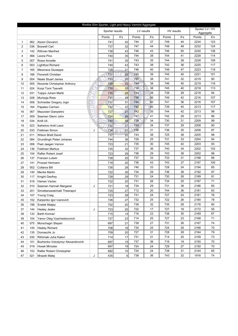| Rimfire 50m Sporter, Light and Heavy Varmint Aggregate |     |                                  |   |                 |     |        |            |            |     |        |                           |  |
|--------------------------------------------------------|-----|----------------------------------|---|-----------------|-----|--------|------------|------------|-----|--------|---------------------------|--|
|                                                        |     |                                  |   | Sporter results |     |        | LV results | HV results |     |        | Spoter/LV/HV<br>Aggregate |  |
|                                                        |     |                                  |   | Points          | X's | Points | X's        | Points     | X's | Points | X's                       |  |
| 1                                                      | 062 | Atzeni Giovanni                  |   | 741             | 42  | 744    | 37         | 749        | 44  | 2234   | 123                       |  |
| $\overline{2}$                                         | 036 | <b>Boswell Carl</b>              |   | 737             | 32  | 747    | 44         | 748        | 48  | 2232   | 124                       |  |
| 3                                                      | 142 | Rißman Manfred                   |   | 738             | 43  | 746    | 43         | 746        | 50  | 2230   | 136                       |  |
| 4                                                      | 066 | Leone Pino                       |   | 740             | 35  | 744    | 38         | 744        | 41  | 2228   | 114                       |  |
| 5                                                      | 007 | Rowe Annette                     |   | 741             | 35  | 743    | 35         | 744        | 38  | 2228   | 108                       |  |
| 6                                                      | 003 | <b>Lightfoot Richard</b>         |   | 740             | 43  | 743    | 38         | 742        | 36  | 2225   | 117                       |  |
| $\overline{7}$                                         | 165 | Mesoraca Giuseppe                |   | 728             | 31  | 746    | 40         | 749        | 47  | 2223   | 118                       |  |
| 8                                                      | 166 | Peverelli Christian              |   | 731             | 22  | 745    | 39         | 745        | 40  | 2221   | 101                       |  |
| 9                                                      | 004 | Neale Stuart James               |   | 733             | 20  | 745    | 38         | 741        | 32  | 2219   | 90                        |  |
| 10                                                     | 005 | Nocente Christopher Anthony      |   | 729             | 33  | 744    | 38         | 746        | 45  | 2219   | 116                       |  |
| 11                                                     | 024 | Korpi Tomi Taavetti              |   | 735             | 35  | 738    | 38         | 745        | 40  | 2218   | 113                       |  |
| 12                                                     | 031 | Tulppo Juhani Martti             |   | 735             | 28  | 744    | 38         | 739        | 28  | 2218   | 94                        |  |
| 13                                                     | 028 | Murisoja Risto                   |   | 731             | 29  | 736    | 36         | 749        | 42  | 2216   | 107                       |  |
| 14                                                     | 008 | Schneider Gregory Jogn           |   | 731             | 31  | 744    | 40         | 741        | 36  | 2216   | 107                       |  |
| 15                                                     | 164 | Papaleo Carmen                   |   | 732             | 37  | 742    | 40         | 739        | 40  | 2213   | 117                       |  |
| 16                                                     | 067 | Mazzolari Gianpietro             |   | 727             | 21  | 742    | 35         | 744        | 42  | 2213   | 98                        |  |
| 17                                                     | 009 |                                  |   | 724             | 26  | 747    | 41         | 742        | 29  | 2213   | 96                        |  |
|                                                        |     | Seaman Glenn John                |   | 740             | 34  | 739    | 34         | 730        | 31  | 2209   | 99                        |  |
| 18                                                     | 034 | Kröll Uli                        |   |                 | 27  | 739    | 34         | 737        | 29  | 2208   | 90                        |  |
| 19                                                     | 023 | Ikaheimo Antti Lassi             |   | 732             |     |        |            |            |     |        |                           |  |
| 20                                                     | 033 | Feldman Simon                    | J | 734             | 21  | 738    | 31         | 736        | 35  | 2208   | 87                        |  |
| 21                                                     | 011 | <b>Wilson Brett David</b>        |   | 737             | 22  | 743    | 38         | 725        | 38  | 2205   | 98                        |  |
| 22                                                     | 084 | Grundlingh Pieter Johanes        |   | 744             | 36  | 729    | 25         | 731        | 33  | 2204   | 94                        |  |
| 23                                                     | 006 | Peet Jaegen Vernon               |   | 723             | 21  | 735    | 30         | 745        | 42  | 2203   | 93                        |  |
| 24                                                     | 136 | <b>Feldman Markus</b>            |   | 725             | 32  | 737    | 36         | 740        | 34  | 2202   | 102                       |  |
| 25                                                     | 154 | Rafter Robert Josef              |   | 723             | 29  | 736    | 29         | 743        | 38  | 2202   | 96                        |  |
| 26                                                     | 137 | Franzen Lutwin                   |   | 728             | 25  | 737    | 33         | 733        | 31  | 2198   | 89                        |  |
| 27                                                     | 141 | Prossel Hermann                  |   | 718             | 20  | 736    | 43         | 743        | 37  | 2197   | 100                       |  |
| 28                                                     | 002 | <b>Collaros Bill</b>             |   | 726             | 28  | 740    | 33         | 728        | 24  | 2194   | 85                        |  |
| 29                                                     | 140 | <b>Menke Martin</b>              |   | 722             | 30  | 734    | 29         | 736        | 38  | 2192   | 97                        |  |
| 30                                                     | 117 | <b>Knight Geofrey</b>            |   | 728             | 29  | 731    | 24         | 730        | 28  | 2189   | 81                        |  |
| 31                                                     | 018 | Haman Vaclav                     |   | 722             | 20  | 731    | 26         | 734        | 25  | 2187   | 71                        |  |
| 32                                                     | 010 | Seaman Hannah Margaret           | J | 721             | 18  | 734    | 29         | 731        | 38  | 2186   | 85                        |  |
| 33                                                     | 201 | Sirirattanawatchakl Theerapol    |   | 725             | 27  | 712    | 20         | 744        | 36  | 2181   | 83                        |  |
| 34                                                     | 107 | <b>Young Craig</b>               |   | 723             | 28  | 731    | 24         | 727        | 24  | 2181   | 76                        |  |
| 35                                                     | 102 | Karpenko Igor Ivanovich          |   | 726             | 27  | 732    | 25         | 722        | 26  | 2180   | 78                        |  |
| 36                                                     | 198 | Svetek Matjaz                    |   | 702             | 20  | 739    | 32         | 735        | 28  | 2176   | 80                        |  |
| 37                                                     | 144 | <b>Healey Jeake</b>              | J | 723             | 20  | 722    | 17         | 727        | 18  | 2172   | 55                        |  |
| 38                                                     | 133 | Barth Konrad                     |   | 715             | 14  | 716    | 23         | 738        | 30  | 2169   | 67                        |  |
| 39                                                     | 104 | Yanov Oleg Vyacheslavovich       |   | 727             | 23  | 714    | 25         | 727        | 23  | 2168   | 71                        |  |
| 40                                                     | 075 | Morschagin Stepan                |   | 697             | 21  | 739    | 27         | 731        | 26  | 2167   | 74                        |  |
| 41                                                     | 145 | <b>Healey Richard</b>            |   | 708             | 16  | 734    | 25         | 724        | 29  | 2166   | 70                        |  |
| 42                                                     | 135 | Domaschk Jo                      |   | 709             | 20  | 727    | 31         | 728        | 28  | 2164   | 79                        |  |
| 43                                                     | 030 | Riihimaki Juha Kalevi            |   | 714             | 17  | 731    | 31         | 714        | 25  | 2159   | 73                        |  |
| 44                                                     | 101 | Bozhenko Volodymyr Alexandrovich |   | 697             | 15  | 737    | 36         | 716        | 19  | 2150   | 70                        |  |
| 45                                                     | 019 | <b>Hosek Miroslav</b>            |   | 697             | 19  | 724    | 24         | 729        | 27  | 2150   | 70                        |  |
| 46                                                     | 153 | Rafter Robert Christopher        |   | 682             | 10  | 724    | 24         | 738        | 31  | 2144   | 65                        |  |
| 47                                                     | 021 | Mrazek Matej                     | J | 435             | 6   | 738    | 36         | 743        | 32  | 1916   | 74                        |  |